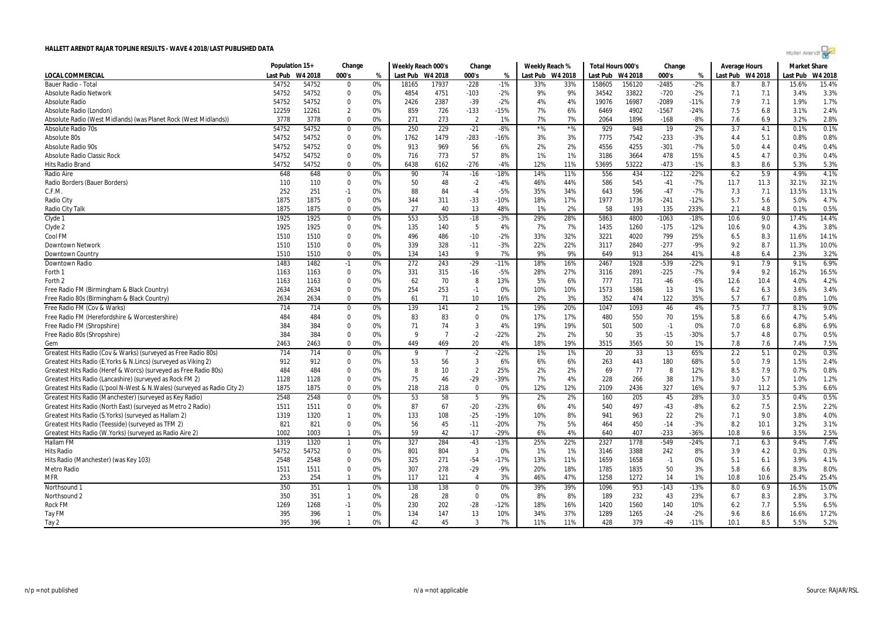|                                                                              | Population 15+   |       | Change                  |          | Weekly Reach 000's |                | Change            |              |            | Weekly Reach %   | Total Hours 000's |            | Change          |           | <b>Average Hours</b> |            | <b>Market Share</b> |         |
|------------------------------------------------------------------------------|------------------|-------|-------------------------|----------|--------------------|----------------|-------------------|--------------|------------|------------------|-------------------|------------|-----------------|-----------|----------------------|------------|---------------------|---------|
| <b>LOCAL COMMERCIAL</b>                                                      | Last Pub W4 2018 |       | 000's                   | %        | Last Pub W4 2018   |                | 000's             | %            |            | Last Pub W4 2018 | Last Pub W4 2018  |            | 000's           | %         | Last Pub W4 2018     |            | Last Pub            | W4 2018 |
| Bauer Radio - Tota                                                           | 54752            | 54752 | $\Omega$                | 0%       | 18165              | 17937          | $-228$            | $-1%$        | 33%        | 33%              | 158605            | 156120     | $-2485$         | $-2%$     | 8.7                  | 8.7        | 15.6%               | 15.4%   |
| <b>Absolute Radio Network</b>                                                | 54752            | 54752 | $\mathbf 0$             | 0%       | 4854               | 4751           | $-103$            | $-2%$        | 9%         | 9%               | 34542             | 33822      | $-720$          | $-2%$     | 7.1                  | 7.1        | 3.4%                | 3.3%    |
| <b>Absolute Radio</b>                                                        | 54752            | 54752 | $\mathbf 0$             | 0%       | 2426               | 2387           | $-39$             | $-2%$        | 4%         | 4%               | 19076             | 16987      | $-2089$         | $-11%$    | 7.9                  | 7.1        | 1.9%                | 1.7%    |
| Absolute Radio (London)                                                      | 12259            | 12261 | 2                       | 0%       | 859                | 726            | $-133$            | $-15%$       | 7%         | 6%               | 6469              | 4902       | -1567           | $-24%$    | 7.5                  | 6.8        | 3.1%                | 2.4%    |
| Absolute Radio (West Midlands) (was Planet Rock (West Midlands))             | 3778             | 3778  | $\Omega$                | 0%       | 271                | 273            | $\overline{2}$    | 1%           | 7%         | 7%               | 2064              | 1896       | $-168$          | $-8%$     | 7.6                  | 6.9        | 3.2%                | 2.8%    |
| Absolute Radio 70s                                                           | 54752            | 54752 | $\mathbf 0$             | 0%       | 250                | 229            | $-21$             | $-8%$        | $*$ %      | $*$ %            | 929               | 948        | $\overline{19}$ | 2%        | 3.7                  | 4.1        | 0.1%                | 0.1%    |
| Absolute 80s                                                                 | 54752            | 54752 | $\Omega$                | 0%       | 1762               | 1479           | $-283$            | $-16%$       | 3%         | 3%               | 7775              | 7542       | $-233$          | $-3%$     | 4.4                  | 5.1        | 0.8%                | 0.8%    |
| Absolute Radio 90s                                                           | 54752            | 54752 | $\Omega$                | 0%       | 913                | 969            | 56                | 6%           | 2%         | 2%               | 4556              | 4255       | $-301$          | $-7%$     | 5.0                  | 4.4        | 0.4%                | 0.4%    |
| Absolute Radio Classic Rock                                                  | 54752            | 54752 | $\mathbf 0$             | 0%       | 716                | 773            | 57                | 8%           | 1%         | 1%               | 3186              | 3664       | 478             | 15%       | 4.5                  | 4.7        | 0.3%                | 0.4%    |
| Hits Radio Brand                                                             | 54752            | 54752 | $\Omega$                | 0%       | 6438               | 6162           | $-276$            | $-4%$        | 12%        | 11%              | 53695             | 53222      | $-473$          | $-1%$     | 8.3                  | 8.6        | 5.3%                | 5.3%    |
| Radio Aire                                                                   | 648              | 648   | 0                       | 0%       | 90                 | 74             | $-16$             | $-18%$       | 14%        | 11%              | 556               | 434        | $-122$          | $-22%$    | 6.2                  | 5.9        | 4.9%                | 4.1%    |
| Radio Borders (Bauer Borders)                                                | 110              | 110   | $\mathbf 0$             | 0%       | 50                 | 48             | $-2$              | $-4%$        | 46%        | 44%              | 586               | 545        | $-41$           | $-7%$     | 11.7                 | 11.3       | 32.1%               | 32.1%   |
| C.F.M.                                                                       | 252              | 251   | $-1$                    | 0%       | 88                 | 84             | $-4$              | $-5%$        | 35%        | 34%              | 643               | 596        | $-47$           | $-7%$     | 7.3                  | 7.1        | 13.5%               | 13.1%   |
| Radio City                                                                   | 1875             | 1875  | $\Omega$                | 0%       | 344                | 311            | $-33$             | $-10%$       | 18%        | 17%              | 1977              | 1736       | $-241$          | $-12%$    | 5.7                  | 5.6        | 5.0%                | 4.7%    |
| Radio City Talk                                                              | 1875             | 1875  | $\Omega$                | 0%       | 27                 | 40             | 13                | 48%          | 1%         | 2%               | 58                | 193        | 135             | 233%      | 2.1                  | 4.8        | 0.1%                | 0.5%    |
| Clyde 1                                                                      | 1925             | 1925  | $\mathbf 0$             | 0%       | 553                | 535            | $-18$             | $-3%$        | 29%        | 28%              | 5863              | 4800       | $-1063$         | $-18%$    | 10.6                 | 9.0        | 17.4%               | 14.4%   |
| Clyde 2                                                                      | 1925             | 1925  | $\mathbf 0$             | 0%       | 135                | 140            | 5                 | 4%           | 7%         | 7%               | 1435              | 1260       | $-175$          | $-12%$    | 10.6                 | 9.0        | 4.3%                | 3.8%    |
| Cool FM                                                                      | 1510             | 1510  | $\Omega$                | 0%       | 496                | 486            | $-10$             | $-2%$        | 33%        | 32%              | 3221              | 4020       | 799             | 25%       | 6.5                  | 8.3        | 11.6%               | 14.1%   |
| <b>Downtown Network</b>                                                      | 1510             | 1510  | $\Omega$                | 0%       | 339                | 328            | $-11$             | $-3%$        | 22%        | 22%              | 3117              | 2840       | $-277$          | $-9%$     | 9.2                  | 8.7        | 11.3%               | 10.0%   |
| Downtown Country                                                             | 1510             | 1510  | $\Omega$                | 0%       | 134                | 143            | 9                 | 7%           | 9%         | 9%               | 649               | 913        | 264             | 41%       | 4.8                  | 6.4        | 2.3%                | 3.2%    |
| Downtown Radio                                                               | 1483             | 1482  | $-1$                    | 0%       | 272                | 243            | $-29$             | $-11%$       | 18%        | 16%              | 2467              | 1928       | $-539$          | $-22%$    | 9.1                  | 7.9        | 9.1%                | 6.9%    |
| Forth 1                                                                      | 1163             | 1163  | $\mathbf 0$             | 0%       | 331                | 315            | $-16$             | $-5%$        | 28%        | 27%              | 3116              | 2891       | $-225$          | $-7%$     | 9.4                  | 9.2        | 16.2%               | 16.5%   |
| Forth 2                                                                      | 1163             | 1163  | $\mathbf 0$             | 0%       | 62                 | 70             | 8                 | 13%          | 5%         | 6%               | 777               | 731        | $-46$           | $-6%$     | 12.6                 | 10.4       | 4.0%                | 4.2%    |
| Free Radio FM (Birmingham & Black Country)                                   | 2634             | 2634  | $\mathbf 0$             | 0%       | 254                | 253            | $-1$              | 0%           | 10%        | 10%              | 1573              | 1586       | 13              | 1%        | 6.2                  | 6.3        | 3.6%                | 3.4%    |
| Free Radio 80s (Birmingham & Black Country)                                  | 2634             | 2634  | $\Omega$                | 0%       | 61                 | 71             | 10                | 16%          | 2%         | 3%               | 352               | 474        | 122             | 35%       | 5.7                  | 6.7        | 0.8%                | 1.0%    |
| Free Radio FM (Cov & Warks)                                                  | 714              | 714   | $\Omega$                | 0%       | 139                | 141            | $\overline{2}$    | 1%           | 19%        | 20%              | 1047              | 1093       | 46              | 4%        | 7.5                  | 7.7        | 8.1%                | 9.0%    |
|                                                                              |                  | 484   | $\Omega$                |          |                    |                | $\mathbf 0$       |              |            |                  |                   |            |                 |           |                      |            |                     | 5.4%    |
| Free Radio FM (Herefordshire & Worcestershire)<br>Free Radio FM (Shropshire) | 484<br>384       | 384   | $\Omega$                | 0%<br>0% | 83<br>71           | 83<br>74       | $\overline{3}$    | 0%<br>4%     | 17%<br>19% | 17%<br>19%       | 480<br>501        | 550<br>500 | 70<br>$-1$      | 15%<br>0% | 5.8<br>7.0           | 6.6<br>6.8 | 4.7%<br>6.8%        | 6.9%    |
| Free Radio 80s (Shropshire)                                                  | 384              | 384   | $\Omega$                | 0%       | q                  | $\overline{7}$ | $-2$              | $-22%$       | 2%         | 2%               | 50                | 35         | $-15$           | -30%      | 5.7                  | 4.8        | 0.7%                | 0.5%    |
| Gem                                                                          | 2463             | 2463  | $\Omega$                | 0%       | 449                | 469            | 20                | 4%           | 18%        | 19%              | 3515              | 3565       | 50              | 1%        | 7.8                  |            | 7.4%                | 7.5%    |
|                                                                              | 714              | 714   |                         |          |                    | 7              | $-2$              |              |            |                  |                   | 33         |                 | 65%       |                      | 7.6        | 0.2%                | 0.3%    |
| Greatest Hits Radio (Cov & Warks) (surveyed as Free Radio 80s)               |                  |       | $\mathbf 0$<br>$\Omega$ | 0%       | 9                  |                | $\overline{3}$    | $-22%$<br>6% | 1%         | 1%               | 20                |            | 13              |           | 2.2                  | 5.1        |                     |         |
| Greatest Hits Radio (E. Yorks & N. Lincs) (surveyed as Viking 2)             | 912              | 912   |                         | 0%       | 53                 | 56             | $\overline{2}$    |              | 6%         | 6%               | 263               | 443        | 180             | 68%       | 5.0                  | 7.9        | 1.5%                | 2.4%    |
| Greatest Hits Radio (Heref & Worcs) (surveyed as Free Radio 80s)             | 484              | 484   | $\Omega$                | 0%       | 8                  | 10             |                   | 25%          | 2%         | 2%               | 69                | 77         | 8               | 12%       | 8.5                  | 7.9        | 0.7%                | 0.8%    |
| Greatest Hits Radio (Lancashire) (surveyed as Rock FM 2)                     | 1128             | 1128  | $\Omega$<br>$\Omega$    | 0%       | 75                 | 46             | $-29$<br>$\Omega$ | $-39%$       | 7%         | 4%               | 228               | 266        | 38              | 17%       | 3.0                  | 5.7        | 1.0%                | 1.2%    |
| Greatest Hits Radio (L'pool N-West & N. Wales) (surveyed as Radio City 2)    | 1875             | 1875  |                         | 0%       | 218                | 218            |                   | 0%           | 12%        | 12%              | 2109              | 2436       | 327             | 16%       | 9.7                  | 11.2       | 5.3%                | 6.6%    |
| Greatest Hits Radio (Manchester) (surveyed as Key Radio)                     | 2548             | 2548  | 0                       | 0%       | 53                 | 58             | 5                 | 9%           | 2%         | 2%               | 160               | 205        | 45              | 28%       | 3.0                  | 3.5        | 0.4%                | 0.5%    |
| Greatest Hits Radio (North East) (surveyed as Metro 2 Radio)                 | 1511             | 1511  | $\mathbf 0$             | 0%       | 87                 | 67             | $-20$             | $-23%$       | 6%         | 4%               | 540               | 497        | $-43$           | $-8%$     | 6.2                  | 7.5        | 2.5%                | 2.2%    |
| Greatest Hits Radio (S.Yorks) (surveyed as Hallam 2)                         | 1319             | 1320  | $\mathbf{1}$            | 0%       | 133                | 108            | $-25$             | $-19%$       | 10%        | 8%               | 941               | 963        | 22              | 2%        | 7.1                  | 9.0        | 3.8%                | 4.0%    |
| Greatest Hits Radio (Teesside) (surveyed as TFM 2)                           | 821              | 821   | $\Omega$                | 0%       | 56                 | 45             | $-11$             | $-20%$       | 7%         | 5%               | 464               | 450        | $-14$           | $-3%$     | 8.2                  | 10.1       | 3.2%                | 3.1%    |
| Greatest Hits Radio (W.Yorks) (surveyed as Radio Aire 2)                     | 1002             | 1003  |                         | 0%       | 59                 | 42             | $-17$             | $-29%$       | 6%         | 4%               | 640               | 407        | $-233$          | $-36%$    | 10.8                 | 9.6        | 3.5%                | 2.5%    |
| Hallam FM                                                                    | 1319             | 1320  | -1                      | 0%       | 327                | 284            | $-43$             | $-13%$       | 25%        | 22%              | 2327              | 1778       | $-549$          | $-24%$    | 7.1                  | 6.3        | 9.4%                | 7.4%    |
| <b>Hits Radio</b>                                                            | 54752            | 54752 | $\Omega$                | 0%       | 801                | 804            | 3                 | 0%           | 1%         | 1%               | 3146              | 3388       | 242             | 8%        | 3.9                  | 4.2        | 0.3%                | 0.3%    |
| Hits Radio (Manchester) (was Key 103)                                        | 2548             | 2548  | $\mathbf 0$             | 0%       | 325                | 271            | $-54$             | $-17%$       | 13%        | 11%              | 1659              | 1658       | $-1$            | 0%        | 5.1                  | 6.1        | 3.9%                | 4.1%    |
| <b>Metro Radio</b>                                                           | 1511             | 1511  | $\mathbf 0$             | 0%       | 307                | 278            | $-29$             | $-9%$        | 20%        | 18%              | 1785              | 1835       | 50              | 3%        | 5.8                  | 6.6        | 8.3%                | 8.0%    |
| <b>MFR</b>                                                                   | 253              | 254   | $\mathbf{1}$            | 0%       | 117                | 121            | $\overline{4}$    | 3%           | 46%        | 47%              | 1258              | 1272       | 14              | 1%        | 10.8                 | 10.6       | 25.4%               | 25.4%   |
| Northsound 1                                                                 | 350              | 351   | $\mathbf{1}$            | 0%       | 138                | 138            | $\Omega$          | 0%           | 39%        | 39%              | 1096              | 953        | $-143$          | $-13%$    | 8.0                  | 6.9        | 16.5%               | 15.0%   |
| Northsound 2                                                                 | 350              | 351   | $\mathbf{1}$            | 0%       | 28                 | 28             | $\Omega$          | 0%           | 8%         | 8%               | 189               | 232        | 43              | 23%       | 6.7                  | 8.3        | 2.8%                | 3.7%    |
| <b>Rock FM</b>                                                               | 1269             | 1268  | $-1$                    | 0%       | 230                | 202            | $-28$             | $-12%$       | 18%        | 16%              | 1420              | 1560       | 140             | 10%       | 6.2                  | 7.7        | 5.5%                | 6.5%    |
| Tay FM                                                                       | 395              | 396   | $\mathbf{1}$            | 0%       | 134                | 147            | 13                | 10%          | 34%        | 37%              | 1289              | 1265       | $-24$           | $-2%$     | 9.6                  | 8.6        | 16.6%               | 17.2%   |
| Tay 2                                                                        | 395              | 396   | $\mathbf{1}$            | 0%       | 42                 | 45             | $\mathbf{3}$      | 7%           | 11%        | 11%              | 428               | 379        | -49             | $-11%$    | 10.1                 | 8.5        | 5.5%                | 5.2%    |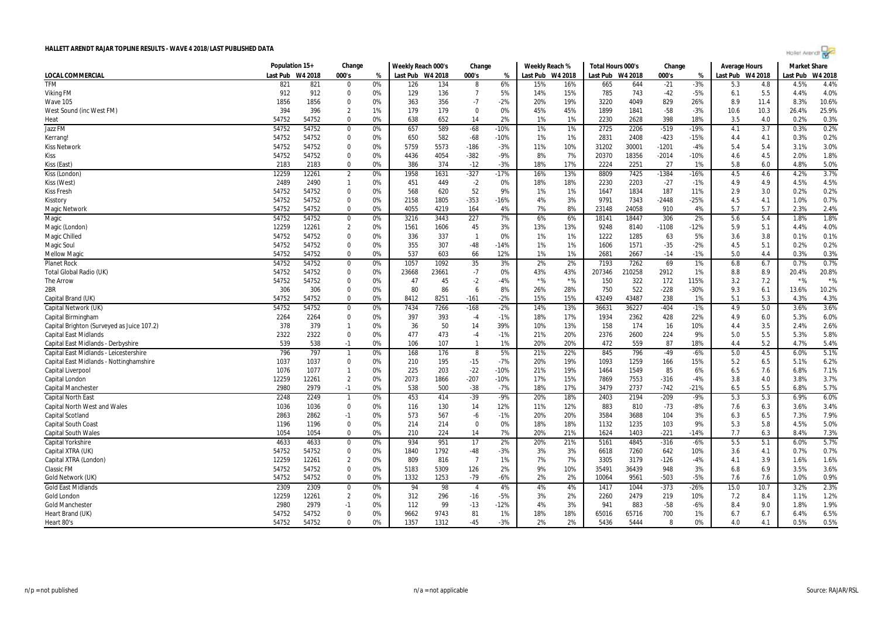

|                                            | Population 15+ |         | Change         |    | Weekly Reach 000's |       | Change         |        | Weekly Reach % |         | Total Hours 000's |        | Change  |        | Average Hours    |      | <b>Market Share</b> |         |
|--------------------------------------------|----------------|---------|----------------|----|--------------------|-------|----------------|--------|----------------|---------|-------------------|--------|---------|--------|------------------|------|---------------------|---------|
| LOCAL COMMERCIAL                           | Last Pub       | W4 2018 | 000's          | %  | Last Pub W4 2018   |       | 000's          | %      | Last Pub       | W4 2018 | Last Pub W4 2018  |        | 000's   | %      | Last Pub W4 2018 |      | Last Pub            | W4 2018 |
| <b>TFM</b>                                 | 821            | 821     | $\Omega$       | 0% | 126                | 134   | 8              | 6%     | 15%            | 16%     | 665               | 644    | $-21$   | $-3%$  | 5.3              | 4.8  | 4.5%                | 4.4%    |
| Viking FM                                  | 912            | 912     | $\Omega$       | 0% | 129                | 136   | $\overline{7}$ | 5%     | 14%            | 15%     | 785               | 743    | $-42$   | $-5%$  | 6.1              | 5.5  | 4.4%                | 4.0%    |
| Wave 105                                   | 1856           | 1856    | $\mathbf 0$    | 0% | 363                | 356   | $-7$           | $-2%$  | 20%            | 19%     | 3220              | 4049   | 829     | 26%    | 8.9              | 11.4 | 8.3%                | 10.6%   |
| West Sound (inc West FM)                   | 394            | 396     | $\overline{2}$ | 1% | 179                | 179   | $\mathbf 0$    | 0%     | 45%            | 45%     | 1899              | 1841   | $-58$   | $-3%$  | 10.6             | 10.3 | 26.4%               | 25.9%   |
| Heat                                       | 54752          | 54752   | $\Omega$       | 0% | 638                | 652   | 14             | 2%     | 1%             | 1%      | 2230              | 2628   | 398     | 18%    | 3.5              | 4.0  | 0.2%                | 0.3%    |
| Jazz FM                                    | 54752          | 54752   | $\mathbf 0$    | 0% | 657                | 589   | $-68$          | $-10%$ | 1%             | 1%      | 2725              | 2206   | $-519$  | -19%   | 4.1              | 3.7  | 0.3%                | 0.2%    |
| Kerrang!                                   | 54752          | 54752   | $\mathbf 0$    | 0% | 650                | 582   | $-68$          | $-10%$ | 1%             | 1%      | 2831              | 2408   | $-423$  | $-15%$ | 4.4              | 4.1  | 0.3%                | 0.2%    |
| <b>Kiss Network</b>                        | 54752          | 54752   | $\mathbf 0$    | 0% | 5759               | 5573  | $-186$         | $-3%$  | 11%            | 10%     | 31202             | 30001  | $-1201$ | $-4%$  | 5.4              | 5.4  | 3.1%                | 3.0%    |
| <b>Kiss</b>                                | 54752          | 54752   | $\Omega$       | 0% | 4436               | 4054  | $-382$         | $-9%$  | 8%             | 7%      | 20370             | 18356  | $-2014$ | $-10%$ | 4.6              | 4.5  | 2.0%                | 1.8%    |
| Kiss (East)                                | 2183           | 2183    | $\Omega$       | 0% | 386                | 374   | $-12$          | $-3%$  | 18%            | 17%     | 2224              | 2251   | 27      | 1%     | 5.8              | 6.0  | 4.8%                | 5.0%    |
| Kiss (London)                              | 12259          | 12261   | $\overline{2}$ | 0% | 1958               | 1631  | $-327$         | $-17%$ | 16%            | 13%     | 8809              | 7425   | $-1384$ | $-16%$ | 4.5              | 4.6  | 4.2%                | 3.7%    |
| Kiss (West)                                | 2489           | 2490    | $\mathbf{1}$   | 0% | 451                | 449   | $-2$           | 0%     | 18%            | 18%     | 2230              | 2203   | $-27$   | $-1%$  | 4.9              | 4.9  | 4.5%                | 4.5%    |
| <b>Kiss Fresh</b>                          | 54752          | 54752   | 0              | 0% | 568                | 620   | 52             | 9%     | 1%             | 1%      | 1647              | 1834   | 187     | 11%    | 2.9              | 3.0  | 0.2%                | 0.2%    |
| Kisstory                                   | 54752          | 54752   | $\Omega$       | 0% | 2158               | 1805  | $-353$         | $-16%$ | 4%             | 3%      | 9791              | 7343   | $-2448$ | $-25%$ | 4.5              | 4.1  | 1.0%                | 0.7%    |
| <b>Magic Network</b>                       | 54752          | 54752   | $\mathbf 0$    | 0% | 4055               | 4219  | 164            | 4%     | 7%             | 8%      | 23148             | 24058  | 910     | 4%     | 5.7              | 5.7  | 2.3%                | 2.4%    |
| Magic                                      | 54752          | 54752   | $\mathbf 0$    | 0% | 3216               | 3443  | 227            | 7%     | 6%             | 6%      | 18141             | 18447  | 306     | 2%     | 5.6              | 5.4  | 1.8%                | 1.8%    |
| Magic (London)                             | 12259          | 12261   | $\overline{2}$ | 0% | 1561               | 1606  | 45             | 3%     | 13%            | 13%     | 9248              | 8140   | $-1108$ | $-12%$ | 5.9              | 5.1  | 4.4%                | 4.0%    |
| Magic Chilled                              | 54752          | 54752   | $\mathbf 0$    | 0% | 336                | 337   | $\overline{1}$ | 0%     | 1%             | 1%      | 1222              | 1285   | 63      | 5%     | 3.6              | 3.8  | 0.1%                | 0.1%    |
| Magic Soul                                 | 54752          | 54752   | $\mathbf 0$    | 0% | 355                | 307   | $-48$          | $-14%$ | 1%             | 1%      | 1606              | 1571   | $-35$   | $-2%$  | 4.5              | 5.1  | 0.2%                | 0.2%    |
| <b>Mellow Magio</b>                        | 54752          | 54752   | $\mathbf 0$    | 0% | 537                | 603   | 66             | 12%    | 1%             | 1%      | 2681              | 2667   | $-14$   | $-1%$  | 5.0              | 4.4  | 0.3%                | 0.3%    |
| <b>Planet Rock</b>                         | 54752          | 54752   | 0              | 0% | 1057               | 1092  | 35             | 3%     | 2%             | 2%      | 7193              | 7262   | 69      | 1%     | 6.8              | 6.7  | 0.7%                | 0.7%    |
| Total Global Radio (UK)                    | 54752          | 54752   | $\mathbf 0$    | 0% | 23668              | 23661 | $-7$           | 0%     | 43%            | 43%     | 207346            | 210258 | 2912    | 1%     | 8.8              | 8.9  | 20.4%               | 20.8%   |
| The Arrow                                  | 54752          | 54752   | $\mathbf 0$    | 0% | 47                 | 45    | $-2$           | $-4%$  | $*$ %          | $*$ %   | 150               | 322    | 172     | 115%   | 3.2              | 7.2  | $*$ %               | $*$ %   |
| 2BR                                        | 306            | 306     | $\mathbf 0$    | 0% | 80                 | 86    | 6              | 8%     | 26%            | 28%     | 750               | 522    | $-228$  | $-30%$ | 9.3              | 6.1  | 13.6%               | 10.2%   |
| Capital Brand (UK)                         | 54752          | 54752   | $\Omega$       | 0% | 8412               | 8251  | $-161$         | $-2%$  | 15%            | 15%     | 43249             | 43487  | 238     | 1%     | 5.1              | 5.3  | 4.3%                | 4.3%    |
| Capital Network (UK)                       | 54752          | 54752   | $\mathbf 0$    | 0% | 7434               | 7266  | $-168$         | $-2%$  | 14%            | 13%     | 36631             | 36227  | $-404$  | $-1%$  | 4.9              | 5.0  | 3.6%                | 3.6%    |
| Capital Birmingham                         | 2264           | 2264    | $\mathbf 0$    | 0% | 397                | 393   | $-4$           | $-1%$  | 18%            | 17%     | 1934              | 2362   | 428     | 22%    | 4.9              | 6.0  | 5.3%                | 6.0%    |
| Capital Brighton (Surveyed as Juice 107.2) | 378            | 379     | $\mathbf{1}$   | 0% | 36                 | 50    | 14             | 39%    | 10%            | 13%     | 158               | 174    | 16      | 10%    | 4.4              | 3.5  | 2.4%                | 2.6%    |
| <b>Capital East Midlands</b>               | 2322           | 2322    | $\mathbf 0$    | 0% | 477                | 473   | $-4$           | $-1%$  | 21%            | 20%     | 2376              | 2600   | 224     | 9%     | 5.0              | 5.5  | 5.3%                | 5.8%    |
| Capital East Midlands - Derbyshire         | 539            | 538     | $-1$           | 0% | 106                | 107   | $\overline{1}$ | 1%     | 20%            | 20%     | 472               | 559    | 87      | 18%    | 4.4              | 5.2  | 4.7%                | 5.4%    |
| Capital East Midlands - Leicestershire     | 796            | 797     | $\mathbf{1}$   | 0% | 168                | 176   | 8              | 5%     | 21%            | 22%     | 845               | 796    | $-49$   | $-6%$  | 5.0              | 4.5  | 6.0%                | 5.1%    |
| Capital East Midlands - Nottinghamshire    | 1037           | 1037    | $\mathbf 0$    | 0% | 210                | 195   | $-15$          | $-7%$  | 20%            | 19%     | 1093              | 1259   | 166     | 15%    | 5.2              | 6.5  | 5.1%                | 6.2%    |
| Capital Liverpool                          | 1076           | 1077    | $\mathbf{1}$   | 0% | 225                | 203   | $-22$          | $-10%$ | 21%            | 19%     | 1464              | 1549   | 85      | 6%     | 6.5              | 7.6  | 6.8%                | 7.1%    |
| Capital London                             | 12259          | 12261   | $\overline{2}$ | 0% | 2073               | 1866  | $-207$         | $-10%$ | 17%            | 15%     | 7869              | 7553   | $-316$  | $-4%$  | 3.8              | 4.0  | 3.8%                | 3.7%    |
| <b>Capital Manchester</b>                  | 2980           | 2979    | $-1$           | 0% | 538                | 500   | $-38$          | $-7%$  | 18%            | 17%     | 3479              | 2737   | $-742$  | $-21%$ | 6.5              | 5.5  | 6.8%                | 5.7%    |
| <b>Capital North East</b>                  | 2248           | 2249    | $\mathbf{1}$   | 0% | 453                | 414   | $-39$          | $-9%$  | 20%            | 18%     | 2403              | 2194   | $-209$  | $-9%$  | 5.3              | 5.3  | 6.9%                | 6.0%    |
| <b>Capital North West and Wales</b>        | 1036           | 1036    | $\mathbf 0$    | 0% | 116                | 130   | 14             | 12%    | 11%            | 12%     | 883               | 810    | $-73$   | $-8%$  | 7.6              | 6.3  | 3.6%                | 3.4%    |
| <b>Capital Scotland</b>                    | 2863           | 2862    | $-1$           | 0% | 573                | 567   | -6             | $-1%$  | 20%            | 20%     | 3584              | 3688   | 104     | 3%     | 6.3              | 6.5  | 7.3%                | 7.9%    |
| Capital South Coast                        | 1196           | 1196    | $\mathbf 0$    | 0% | 214                | 214   | $\Omega$       | 0%     | 18%            | 18%     | 1132              | 1235   | 103     | 9%     | 5.3              | 5.8  | 4.5%                | 5.0%    |
| <b>Capital South Wales</b>                 | 1054           | 1054    | 0              | 0% | 210                | 224   | 14             | 7%     | 20%            | 21%     | 1624              | 1403   | $-221$  | $-14%$ | 7.7              | 6.3  | 8.4%                | 7.3%    |
| Capital Yorkshire                          | 4633           | 4633    | $\mathbf 0$    | 0% | 934                | 951   | 17             | 2%     | 20%            | 21%     | 5161              | 4845   | $-316$  | $-6%$  | 5.5              | 5.1  | 6.0%                | 5.7%    |
| Capital XTRA (UK)                          | 54752          | 54752   | 0              | 0% | 1840               | 1792  | -48            | -3%    | 3%             | 3%      | 6618              | 7260   | 642     | 10%    | 3.6              | 4.1  | 0.7%                | 0.7%    |
| Capital XTRA (London)                      | 12259          | 12261   | $\overline{2}$ | 0% | 809                | 816   | $\overline{7}$ | 1%     | 7%             | 7%      | 3305              | 3179   | $-126$  | $-4%$  | 4.1              | 3.9  | 1.6%                | 1.6%    |
| <b>Classic FM</b>                          | 54752          | 54752   | $\Omega$       | 0% | 5183               | 5309  | 126            | 2%     | 9%             | 10%     | 35491             | 36439  | 948     | 3%     | 6.8              | 6.9  | 3.5%                | 3.6%    |
| Gold Network (UK)                          | 54752          | 54752   | $\Omega$       | 0% | 1332               | 1253  | $-79$          | $-6%$  | 2%             | 2%      | 10064             | 9561   | $-503$  | $-5%$  | 7.6              | 7.6  | 1.0%                | 0.9%    |
| <b>Gold East Midlands</b>                  | 2309           | 2309    | $\mathbf 0$    | 0% | 94                 | 98    | $\overline{4}$ | 4%     | 4%             | 4%      | 1417              | 1044   | $-373$  | $-26%$ | 15.0             | 10.7 | 3.2%                | 2.3%    |
| Gold London                                | 12259          | 12261   | $\overline{2}$ | 0% | 312                | 296   | $-16$          | $-5%$  | 3%             | 2%      | 2260              | 2479   | 219     | 10%    | 7.2              | 8.4  | 1.1%                | 1.2%    |
| <b>Gold Manchester</b>                     | 2980           | 2979    | $-1$           | 0% | 112                | 99    | $-13$          | $-12%$ | 4%             | 3%      | 941               | 883    | $-58$   | $-6%$  | 8.4              | 9.0  | 1.8%                | 1.9%    |
| Heart Brand (UK)                           | 54752          | 54752   | 0              | 0% | 9662               | 9743  | 81             | 1%     | 18%            | 18%     | 65016             | 65716  | 700     | 1%     | 6.7              | 6.7  | 6.4%                | 6.5%    |
| Heart 80's                                 | 54752          | 54752   | $\mathbf 0$    | 0% | 1357               | 1312  | $-45$          | $-3%$  | 2%             | 2%      | 5436              | 5444   | -8      | 0%     | 4.0              | 4.1  | 0.5%                | 0.5%    |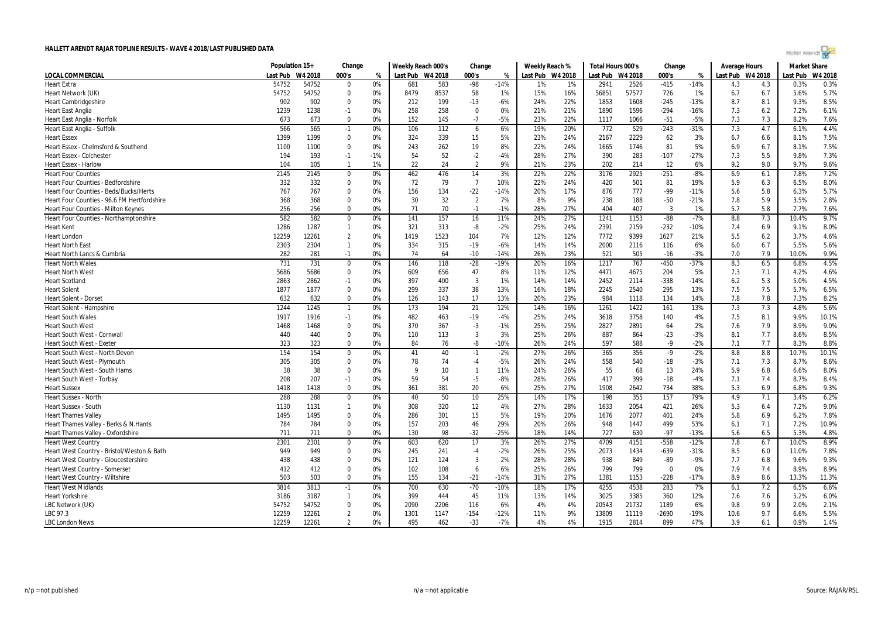|  | Agilet Arengr |  |  |
|--|---------------|--|--|
|  |               |  |  |

| Last Pub<br>W4 2018<br>000's<br>Last Pub W4 2018<br>000's<br>Last Pub W4 2018<br>W4 2018<br>000's<br>Last Pub W4 2018<br>W4 2018<br>LOCAL COMMERCIAL<br>%<br>%<br>Last Pub<br>%<br>Last Pub<br>54752<br>54752<br>0%<br>583<br>$-14%$<br>$-415$<br>0.3%<br><b>Heart Extra</b><br>681<br>$-98$<br>1%<br>2941<br>2526<br>$-14%$<br>4.3<br>4.3<br>0.3%<br>$\Omega$<br>1%<br>5.7%<br>Heart Network (UK)<br>54752<br>54752<br>0%<br>8479<br>8537<br>58<br>1%<br>15%<br>16%<br>56851<br>57577<br>726<br>1%<br>6.7<br>5.6%<br>$\mathbf 0$<br>6.7<br>8.5%<br>902<br>0%<br>212<br>$-6%$<br>22%<br>1608<br>$-245$<br>$-13%$<br>8.7<br>8.1<br><b>Heart Cambridgeshire</b><br>902<br>$\mathbf 0$<br>199<br>$-13$<br>24%<br>1853<br>9.3%<br>6.1%<br>1239<br>1238<br>0%<br>258<br>258<br>$\mathbf 0$<br>0%<br>21%<br>21%<br>1596<br>$-294$<br>$-16%$<br>6.2<br>7.2%<br><b>Heart East Anglia</b><br>$-1$<br>1890<br>7.3<br>0%<br>$-7$<br>$-5%$<br>23%<br>22%<br>7.3<br>7.3<br>7.6%<br>Heart East Anglia - Norfolk<br>673<br>673<br>$\mathbf 0$<br>152<br>145<br>1117<br>1066<br>$-51$<br>$-5%$<br>8.2%<br>4.4%<br>566<br>565<br>0%<br>106<br>112<br>6%<br>19%<br>20%<br>772<br>529<br>$-243$<br>$-31%$<br>7.3<br>4.7<br>Heart East Anglia - Suffolk<br>$-1$<br>6<br>6.1%<br>15<br>5%<br>62<br>7.5%<br>1399<br>1399<br>$\mathbf 0$<br>0%<br>324<br>339<br>23%<br>24%<br>2167<br>2229<br>3%<br>6.7<br>8.1%<br><b>Heart Essex</b><br>6.6<br>8%<br>81<br>5%<br>7.5%<br>1100<br>$\mathbf 0$<br>0%<br>243<br>262<br>19<br>22%<br>24%<br>1746<br>6.9<br>6.7<br>Heart Essex - Chelmsford & Southend<br>1100<br>1665<br>8.1%<br>193<br>54<br>52<br>$-2$<br>28%<br>27%<br>283<br>$-107$<br>5.5<br>7.3%<br>194<br>$-1%$<br>$-4%$<br>390<br>$-27%$<br>7.3<br>9.8%<br><b>Heart Essex - Colchester</b><br>$-1$<br>104<br>1%<br>22<br>24<br>$\overline{2}$<br>9%<br>21%<br>23%<br>202<br>214<br>12<br>9.2<br>9.0<br>9.6%<br><b>Heart Essex - Harlow</b><br>105<br>$\mathbf{1}$<br>6%<br>9.7%<br>7.2%<br>2925<br>2145<br>462<br>476<br>22%<br>3176<br>$-251$<br>$-8%$<br><b>Heart Four Counties</b><br>2145<br>$\mathbf 0$<br>0%<br>14<br>3%<br>22%<br>6.9<br>6.1<br>7.8%<br>$\overline{7}$<br>8.0%<br>Heart Four Counties - Bedfordshire<br>332<br>332<br>0<br>0%<br>72<br>79<br>10%<br>22%<br>24%<br>420<br>501<br>81<br>19%<br>5.9<br>6.3<br>6.5%<br>777<br>5.8<br>5.7%<br>767<br>0%<br>156<br>$-22$<br>$-14%$<br>20%<br>17%<br>$-99$<br>$-11%$<br><b>Heart Four Counties - Beds/Bucks/Herts</b><br>767<br>$\mathbf 0$<br>134<br>876<br>5.6<br>6.3%<br>0%<br>32<br>$\overline{2}$<br>7%<br>8%<br>188<br>$-50$<br>5.9<br>3.5%<br>2.8%<br>Heart Four Counties - 96.6 FM Hertfordshire<br>368<br>368<br>$\Omega$<br>30<br>9%<br>238<br>$-21%$<br>7.8<br>256<br>0%<br>71<br>70<br>$-1%$<br>27%<br>404<br>407<br>5.7<br>5.8<br>7.6%<br>256<br>$\Omega$<br>$-1$<br>28%<br>3<br>1%<br>7.7%<br>Heart Four Counties - Milton Keynes<br>9.7%<br>582<br>582<br>157<br>27%<br>$-88$<br>$-7%$<br>8.8<br>Heart Four Counties - Northamptonshire<br>$\mathbf 0$<br>0%<br>141<br>16<br>11%<br>24%<br>1241<br>1153<br>7.3<br>10.4%<br>2159<br>$-232$<br>8.0%<br>1286<br>1287<br>0%<br>321<br>313<br>-8<br>$-2%$<br>25%<br>24%<br>2391<br>$-10%$<br>6.9<br>9.1%<br><b>Heart Kent</b><br>$\mathbf{1}$<br>7.4<br>4.6%<br>12259<br>12261<br>$\overline{2}$<br>0%<br>1419<br>1523<br>104<br>7%<br>12%<br>12%<br>7772<br>9399<br>1627<br>21%<br>5.5<br>6.2<br>3.7%<br><b>Heart London</b><br>5.6%<br>2303<br>2304<br>0%<br>334<br>315<br>$-19$<br>$-6%$<br>14%<br>14%<br>2000<br>2116<br>116<br>6%<br>5.5%<br><b>Heart North East</b><br>$\mathbf{1}$<br>6.0<br>6.7<br>282<br>0%<br>74<br>$-14%$<br>23%<br>521<br>505<br>7.9<br>10.0%<br>9.9%<br>Heart North Lancs & Cumbria<br>281<br>$-1$<br>64<br>$-10$<br>26%<br>$-16$<br>$-3%$<br>7.0<br>4.5%<br>731<br>0%<br>146<br>118<br>$-28$<br>$-19%$<br>20%<br>16%<br>1217<br>767<br>$-450$<br>$-37%$<br>8.3<br>6.5<br><b>Heart North Wales</b><br>731<br>$\mathbf 0$<br>6.8%<br>5686<br>5686<br>$\mathbf 0$<br>0%<br>609<br>656<br>47<br>8%<br>12%<br>4471<br>4675<br>204<br>5%<br>7.1<br>4.6%<br><b>Heart North West</b><br>11%<br>7.3<br>4.2%<br>$\overline{3}$<br>5.3<br>4.5%<br><b>Heart Scotland</b><br>2863<br>2862<br>$-1$<br>0%<br>397<br>400<br>1%<br>14%<br>14%<br>2452<br>2114<br>$-338$<br>$-14%$<br>6.2<br>5.0%<br>7.5<br>38<br>7.5<br>6.5%<br>1877<br>1877<br>$\mathbf 0$<br>0%<br>299<br>337<br>13%<br>16%<br>18%<br>2245<br>2540<br>295<br>13%<br>5.7%<br><b>Heart Solent</b><br>8.2%<br>632<br>632<br>$\Omega$<br>0%<br>126<br>143<br>17<br>13%<br>20%<br>23%<br>984<br>1118<br>134<br>14%<br>7.8<br>7.8<br>7.3%<br><b>Heart Solent - Dorse</b><br>194<br>12%<br>1422<br>7.3<br>7.3<br>5.6%<br>1244<br>1245<br>0%<br>173<br>21<br>14%<br>16%<br>1261<br>161<br>13%<br>4.8%<br>Heart Solent - Hampshire<br>$\mathbf{1}$<br>1917<br>1916<br>482<br>463<br>$-19$<br>25%<br>24%<br>3758<br>140<br>7.5<br>8.1<br>9.9%<br>10.1%<br><b>Heart South Wales</b><br>$-1$<br>0%<br>-4%<br>3618<br>4%<br>$-3$<br>25%<br>25%<br>9.0%<br><b>Heart South West</b><br>1468<br>1468<br>$\mathbf 0$<br>0%<br>370<br>367<br>$-1%$<br>2827<br>2891<br>64<br>2%<br>7.6<br>7.9<br>8.9%<br>8.5%<br>440<br>$\overline{3}$<br>25%<br>26%<br>887<br>864<br>8.1<br>7.7<br><b>Heart South West - Cornwall</b><br>440<br>$\Omega$<br>0%<br>110<br>113<br>3%<br>$-23$<br>$-3%$<br>8.6%<br>8.8%<br><b>Heart South West - Exeter</b><br>323<br>323<br>$\Omega$<br>0%<br>84<br>76<br>-8<br>$-10%$<br>26%<br>24%<br>597<br>588<br>$-9$<br>$-2%$<br>7.1<br>7.7<br>8.3%<br>154<br>154<br>0%<br>40<br>$-1$<br>$-2%$<br>27%<br>26%<br>365<br>356<br>$-9$<br>$-2%$<br>8.8<br>8.8<br>10.1%<br>Heart South West - North Devon<br>$\Omega$<br>41<br>10.7%<br>8.6%<br>Heart South West - Plymouth<br>305<br>305<br>$\mathbf 0$<br>0%<br>78<br>74<br>$-4$<br>$-5%$<br>26%<br>24%<br>558<br>540<br>$-18$<br>$-3%$<br>7.3<br>8.7%<br>7.1<br>38<br>8.0%<br>38<br>$\mathbf 0$<br>0%<br>10<br>$\mathbf{1}$<br>26%<br>55<br>68<br>13<br>5.9<br>6.8<br>Heart South West - South Hams<br>9<br>11%<br>24%<br>24%<br>6.6%<br>59<br>54<br>$-5$<br>399<br>8.4%<br>208<br>207<br>0%<br>$-8%$<br>28%<br>26%<br>417<br>$-18$<br>$-4%$<br>7.1<br>7.4<br>8.7%<br>Heart South West - Torbay<br>$-1$<br>$\mathbf 0$<br>361<br>381<br>20<br>6%<br>25%<br>734<br>38%<br>5.3<br>9.3%<br><b>Heart Sussex</b><br>1418<br>1418<br>0%<br>27%<br>1908<br>2642<br>6.9<br>6.8%<br>6.2%<br>288<br>288<br>0%<br>40<br>50<br>10<br>25%<br>14%<br>17%<br>198<br>355<br>157<br>79%<br>4.9<br>3.4%<br><b>Heart Sussex - North</b><br>$\mathbf 0$<br>7.1<br>12<br>9.0%<br><b>Heart Sussex - South</b><br>1130<br>1131<br>0%<br>308<br>320<br>4%<br>27%<br>28%<br>1633<br>2054<br>421<br>26%<br>5.3<br>7.2%<br>$\mathbf{1}$<br>6.4<br>19%<br>20%<br>2077<br>7.8%<br>1495<br>1495<br>$\Omega$<br>0%<br>286<br>301<br>15<br>5%<br>1676<br>401<br>24%<br>5.8<br>6.9<br>6.2%<br><b>Heart Thames Valley</b><br>0%<br>29%<br>10.9%<br>Heart Thames Valley - Berks & N.Hants<br>784<br>784<br>$\Omega$<br>157<br>203<br>46<br>20%<br>26%<br>948<br>1447<br>499<br>53%<br>6.1<br>7.1<br>7.2%<br>$-25%$<br>6.5<br>711<br>$\mathbf 0$<br>0%<br>130<br>98<br>$-32$<br>18%<br>14%<br>727<br>630<br>$-97$<br>$-13%$<br>5.3%<br>4.8%<br>Heart Thames Valley - Oxfordshire<br>711<br>5.6<br>8.9%<br>$-558$<br>2301<br>2301<br>0%<br>603<br>620<br>17<br>3%<br>26%<br>27%<br>4709<br>4151<br>$-12%$<br>10.0%<br><b>Heart West Country</b><br>$\mathbf 0$<br>7.8<br>6.7<br>$-2%$<br>25%<br>$-639$<br>8.5<br>7.8%<br>Heart West Country - Bristol/Weston & Bath<br>949<br>949<br>0<br>0%<br>245<br>241<br>$-4$<br>26%<br>2073<br>1434<br>$-31%$<br>6.0<br>11.0%<br>9.3%<br>438<br>438<br>0%<br>121<br>124<br>3<br>2%<br>28%<br>28%<br>938<br>849<br>-89<br>$-9%$<br>7.7<br>Heart West Country - Gloucestershire<br>$\Omega$<br>6.8<br>9.6%<br>412<br>25%<br>799<br>8.9%<br><b>Heart West Country - Somerset</b><br>412<br>$\mathbf 0$<br>0%<br>102<br>108<br>6<br>6%<br>26%<br>799<br>$\Omega$<br>0%<br>7.9<br>7.4<br>8.9%<br>503<br>27%<br>503<br>0%<br>155<br>$-21$<br>$-14%$<br>1381<br>1153<br>$-228$<br>$-17%$<br>8.9<br>8.6<br>13.3%<br>11.3%<br><b>Heart West Country - Wiltshire</b><br>$\mathbf 0$<br>134<br>31%<br>3814<br>0%<br>18%<br>4538<br>283<br>7.2<br>6.6%<br><b>Heart West Midlands</b><br>3813<br>700<br>630<br>$-70$<br>$-10%$<br>17%<br>4255<br>7%<br>6.1<br>6.5%<br>$-1$<br>45<br>3385<br>360<br>7.6<br>6.0%<br><b>Heart Yorkshire</b><br>3186<br>3187<br>0%<br>399<br>444<br>11%<br>13%<br>14%<br>3025<br>12%<br>5.2%<br>$\mathbf{1}$<br>7.6<br>54752<br>54752<br>$\mathbf 0$<br>0%<br>2090<br>2206<br>6%<br>4%<br>4%<br>21732<br>1189<br>6%<br>9.8<br>9.9<br>2.0%<br>2.1%<br>LBC Network (UK)<br>116<br>20543<br>$\overline{2}$<br>0%<br>$-154$<br>9%<br>9.7<br>5.5%<br>LBC 97.3<br>12259<br>12261<br>1301<br>1147<br>$-12%$<br>11%<br>13809<br>11119<br>$-2690$<br>$-19%$<br>10.6<br>6.6%<br>12259<br>12261<br>$\overline{2}$<br>0%<br>495<br>462<br>$-33$<br>$-7%$<br>4%<br>4%<br>1915<br>2814<br>899<br>47%<br>3.9<br>6.1<br>0.9%<br>1.4%<br><b>LBC London News</b> | Population 15+ | Change | Weekly Reach 000's | Change | Weekly Reach % | Total Hours 000's | Change | <b>Average Hours</b> | <b>Market Share</b> |  |
|-------------------------------------------------------------------------------------------------------------------------------------------------------------------------------------------------------------------------------------------------------------------------------------------------------------------------------------------------------------------------------------------------------------------------------------------------------------------------------------------------------------------------------------------------------------------------------------------------------------------------------------------------------------------------------------------------------------------------------------------------------------------------------------------------------------------------------------------------------------------------------------------------------------------------------------------------------------------------------------------------------------------------------------------------------------------------------------------------------------------------------------------------------------------------------------------------------------------------------------------------------------------------------------------------------------------------------------------------------------------------------------------------------------------------------------------------------------------------------------------------------------------------------------------------------------------------------------------------------------------------------------------------------------------------------------------------------------------------------------------------------------------------------------------------------------------------------------------------------------------------------------------------------------------------------------------------------------------------------------------------------------------------------------------------------------------------------------------------------------------------------------------------------------------------------------------------------------------------------------------------------------------------------------------------------------------------------------------------------------------------------------------------------------------------------------------------------------------------------------------------------------------------------------------------------------------------------------------------------------------------------------------------------------------------------------------------------------------------------------------------------------------------------------------------------------------------------------------------------------------------------------------------------------------------------------------------------------------------------------------------------------------------------------------------------------------------------------------------------------------------------------------------------------------------------------------------------------------------------------------------------------------------------------------------------------------------------------------------------------------------------------------------------------------------------------------------------------------------------------------------------------------------------------------------------------------------------------------------------------------------------------------------------------------------------------------------------------------------------------------------------------------------------------------------------------------------------------------------------------------------------------------------------------------------------------------------------------------------------------------------------------------------------------------------------------------------------------------------------------------------------------------------------------------------------------------------------------------------------------------------------------------------------------------------------------------------------------------------------------------------------------------------------------------------------------------------------------------------------------------------------------------------------------------------------------------------------------------------------------------------------------------------------------------------------------------------------------------------------------------------------------------------------------------------------------------------------------------------------------------------------------------------------------------------------------------------------------------------------------------------------------------------------------------------------------------------------------------------------------------------------------------------------------------------------------------------------------------------------------------------------------------------------------------------------------------------------------------------------------------------------------------------------------------------------------------------------------------------------------------------------------------------------------------------------------------------------------------------------------------------------------------------------------------------------------------------------------------------------------------------------------------------------------------------------------------------------------------------------------------------------------------------------------------------------------------------------------------------------------------------------------------------------------------------------------------------------------------------------------------------------------------------------------------------------------------------------------------------------------------------------------------------------------------------------------------------------------------------------------------------------------------------------------------------------------------------------------------------------------------------------------------------------------------------------------------------------------------------------------------------------------------------------------------------------------------------------------------------------------------------------------------------------------------------------------------------------------------------------------------------------------------------------------------------------------------------------------------------------------------------------------------------------------------------------------------------------------------------------------------------------------------------------------------------------------------------------------------------------------------------------------------------------------------------------------------------------------------------------------------------------------------------------------------------------------------------------------------------------------------------------------------------------------------------------------------------------------------------------------------------------------------------------------------------------------------------------------------------------------------------------------------------------------------------------------------------------------------------------------------------------------------------------------------------------------------------------------------------------------------------------------------------------------------------------------------------------------------------------------------------------------------------------------------------------------------------------------------------------------------------------------------------------------------------------------------------------------------------------------------------------------------------------------------------------------------------------------------------------------------------------------------------------------------------------------------------------------------------------------------------------------------------------------------------------------------------------------------------------------------------------------------------------------------------------------------------------------------------------------------------------------------------------------------------------------------------------------------------------------------------------------------------------------------------------------------------------------------------------|----------------|--------|--------------------|--------|----------------|-------------------|--------|----------------------|---------------------|--|
|                                                                                                                                                                                                                                                                                                                                                                                                                                                                                                                                                                                                                                                                                                                                                                                                                                                                                                                                                                                                                                                                                                                                                                                                                                                                                                                                                                                                                                                                                                                                                                                                                                                                                                                                                                                                                                                                                                                                                                                                                                                                                                                                                                                                                                                                                                                                                                                                                                                                                                                                                                                                                                                                                                                                                                                                                                                                                                                                                                                                                                                                                                                                                                                                                                                                                                                                                                                                                                                                                                                                                                                                                                                                                                                                                                                                                                                                                                                                                                                                                                                                                                                                                                                                                                                                                                                                                                                                                                                                                                                                                                                                                                                                                                                                                                                                                                                                                                                                                                                                                                                                                                                                                                                                                                                                                                                                                                                                                                                                                                                                                                                                                                                                                                                                                                                                                                                                                                                                                                                                                                                                                                                                                                                                                                                                                                                                                                                                                                                                                                                                                                                                                                                                                                                                                                                                                                                                                                                                                                                                                                                                                                                                                                                                                                                                                                                                                                                                                                                                                                                                                                                                                                                                                                                                                                                                                                                                                                                                                                                                                                                                                                                                                                                                                                                                                                                                                                                                                                                                                                                                                                                                                                                                                                                                                                                                                                                                                                                                                                                                                                                                                                       |                |        |                    |        |                |                   |        |                      |                     |  |
|                                                                                                                                                                                                                                                                                                                                                                                                                                                                                                                                                                                                                                                                                                                                                                                                                                                                                                                                                                                                                                                                                                                                                                                                                                                                                                                                                                                                                                                                                                                                                                                                                                                                                                                                                                                                                                                                                                                                                                                                                                                                                                                                                                                                                                                                                                                                                                                                                                                                                                                                                                                                                                                                                                                                                                                                                                                                                                                                                                                                                                                                                                                                                                                                                                                                                                                                                                                                                                                                                                                                                                                                                                                                                                                                                                                                                                                                                                                                                                                                                                                                                                                                                                                                                                                                                                                                                                                                                                                                                                                                                                                                                                                                                                                                                                                                                                                                                                                                                                                                                                                                                                                                                                                                                                                                                                                                                                                                                                                                                                                                                                                                                                                                                                                                                                                                                                                                                                                                                                                                                                                                                                                                                                                                                                                                                                                                                                                                                                                                                                                                                                                                                                                                                                                                                                                                                                                                                                                                                                                                                                                                                                                                                                                                                                                                                                                                                                                                                                                                                                                                                                                                                                                                                                                                                                                                                                                                                                                                                                                                                                                                                                                                                                                                                                                                                                                                                                                                                                                                                                                                                                                                                                                                                                                                                                                                                                                                                                                                                                                                                                                                                                       |                |        |                    |        |                |                   |        |                      |                     |  |
|                                                                                                                                                                                                                                                                                                                                                                                                                                                                                                                                                                                                                                                                                                                                                                                                                                                                                                                                                                                                                                                                                                                                                                                                                                                                                                                                                                                                                                                                                                                                                                                                                                                                                                                                                                                                                                                                                                                                                                                                                                                                                                                                                                                                                                                                                                                                                                                                                                                                                                                                                                                                                                                                                                                                                                                                                                                                                                                                                                                                                                                                                                                                                                                                                                                                                                                                                                                                                                                                                                                                                                                                                                                                                                                                                                                                                                                                                                                                                                                                                                                                                                                                                                                                                                                                                                                                                                                                                                                                                                                                                                                                                                                                                                                                                                                                                                                                                                                                                                                                                                                                                                                                                                                                                                                                                                                                                                                                                                                                                                                                                                                                                                                                                                                                                                                                                                                                                                                                                                                                                                                                                                                                                                                                                                                                                                                                                                                                                                                                                                                                                                                                                                                                                                                                                                                                                                                                                                                                                                                                                                                                                                                                                                                                                                                                                                                                                                                                                                                                                                                                                                                                                                                                                                                                                                                                                                                                                                                                                                                                                                                                                                                                                                                                                                                                                                                                                                                                                                                                                                                                                                                                                                                                                                                                                                                                                                                                                                                                                                                                                                                                                                       |                |        |                    |        |                |                   |        |                      |                     |  |
|                                                                                                                                                                                                                                                                                                                                                                                                                                                                                                                                                                                                                                                                                                                                                                                                                                                                                                                                                                                                                                                                                                                                                                                                                                                                                                                                                                                                                                                                                                                                                                                                                                                                                                                                                                                                                                                                                                                                                                                                                                                                                                                                                                                                                                                                                                                                                                                                                                                                                                                                                                                                                                                                                                                                                                                                                                                                                                                                                                                                                                                                                                                                                                                                                                                                                                                                                                                                                                                                                                                                                                                                                                                                                                                                                                                                                                                                                                                                                                                                                                                                                                                                                                                                                                                                                                                                                                                                                                                                                                                                                                                                                                                                                                                                                                                                                                                                                                                                                                                                                                                                                                                                                                                                                                                                                                                                                                                                                                                                                                                                                                                                                                                                                                                                                                                                                                                                                                                                                                                                                                                                                                                                                                                                                                                                                                                                                                                                                                                                                                                                                                                                                                                                                                                                                                                                                                                                                                                                                                                                                                                                                                                                                                                                                                                                                                                                                                                                                                                                                                                                                                                                                                                                                                                                                                                                                                                                                                                                                                                                                                                                                                                                                                                                                                                                                                                                                                                                                                                                                                                                                                                                                                                                                                                                                                                                                                                                                                                                                                                                                                                                                                       |                |        |                    |        |                |                   |        |                      |                     |  |
|                                                                                                                                                                                                                                                                                                                                                                                                                                                                                                                                                                                                                                                                                                                                                                                                                                                                                                                                                                                                                                                                                                                                                                                                                                                                                                                                                                                                                                                                                                                                                                                                                                                                                                                                                                                                                                                                                                                                                                                                                                                                                                                                                                                                                                                                                                                                                                                                                                                                                                                                                                                                                                                                                                                                                                                                                                                                                                                                                                                                                                                                                                                                                                                                                                                                                                                                                                                                                                                                                                                                                                                                                                                                                                                                                                                                                                                                                                                                                                                                                                                                                                                                                                                                                                                                                                                                                                                                                                                                                                                                                                                                                                                                                                                                                                                                                                                                                                                                                                                                                                                                                                                                                                                                                                                                                                                                                                                                                                                                                                                                                                                                                                                                                                                                                                                                                                                                                                                                                                                                                                                                                                                                                                                                                                                                                                                                                                                                                                                                                                                                                                                                                                                                                                                                                                                                                                                                                                                                                                                                                                                                                                                                                                                                                                                                                                                                                                                                                                                                                                                                                                                                                                                                                                                                                                                                                                                                                                                                                                                                                                                                                                                                                                                                                                                                                                                                                                                                                                                                                                                                                                                                                                                                                                                                                                                                                                                                                                                                                                                                                                                                                                       |                |        |                    |        |                |                   |        |                      |                     |  |
|                                                                                                                                                                                                                                                                                                                                                                                                                                                                                                                                                                                                                                                                                                                                                                                                                                                                                                                                                                                                                                                                                                                                                                                                                                                                                                                                                                                                                                                                                                                                                                                                                                                                                                                                                                                                                                                                                                                                                                                                                                                                                                                                                                                                                                                                                                                                                                                                                                                                                                                                                                                                                                                                                                                                                                                                                                                                                                                                                                                                                                                                                                                                                                                                                                                                                                                                                                                                                                                                                                                                                                                                                                                                                                                                                                                                                                                                                                                                                                                                                                                                                                                                                                                                                                                                                                                                                                                                                                                                                                                                                                                                                                                                                                                                                                                                                                                                                                                                                                                                                                                                                                                                                                                                                                                                                                                                                                                                                                                                                                                                                                                                                                                                                                                                                                                                                                                                                                                                                                                                                                                                                                                                                                                                                                                                                                                                                                                                                                                                                                                                                                                                                                                                                                                                                                                                                                                                                                                                                                                                                                                                                                                                                                                                                                                                                                                                                                                                                                                                                                                                                                                                                                                                                                                                                                                                                                                                                                                                                                                                                                                                                                                                                                                                                                                                                                                                                                                                                                                                                                                                                                                                                                                                                                                                                                                                                                                                                                                                                                                                                                                                                                       |                |        |                    |        |                |                   |        |                      |                     |  |
|                                                                                                                                                                                                                                                                                                                                                                                                                                                                                                                                                                                                                                                                                                                                                                                                                                                                                                                                                                                                                                                                                                                                                                                                                                                                                                                                                                                                                                                                                                                                                                                                                                                                                                                                                                                                                                                                                                                                                                                                                                                                                                                                                                                                                                                                                                                                                                                                                                                                                                                                                                                                                                                                                                                                                                                                                                                                                                                                                                                                                                                                                                                                                                                                                                                                                                                                                                                                                                                                                                                                                                                                                                                                                                                                                                                                                                                                                                                                                                                                                                                                                                                                                                                                                                                                                                                                                                                                                                                                                                                                                                                                                                                                                                                                                                                                                                                                                                                                                                                                                                                                                                                                                                                                                                                                                                                                                                                                                                                                                                                                                                                                                                                                                                                                                                                                                                                                                                                                                                                                                                                                                                                                                                                                                                                                                                                                                                                                                                                                                                                                                                                                                                                                                                                                                                                                                                                                                                                                                                                                                                                                                                                                                                                                                                                                                                                                                                                                                                                                                                                                                                                                                                                                                                                                                                                                                                                                                                                                                                                                                                                                                                                                                                                                                                                                                                                                                                                                                                                                                                                                                                                                                                                                                                                                                                                                                                                                                                                                                                                                                                                                                                       |                |        |                    |        |                |                   |        |                      |                     |  |
|                                                                                                                                                                                                                                                                                                                                                                                                                                                                                                                                                                                                                                                                                                                                                                                                                                                                                                                                                                                                                                                                                                                                                                                                                                                                                                                                                                                                                                                                                                                                                                                                                                                                                                                                                                                                                                                                                                                                                                                                                                                                                                                                                                                                                                                                                                                                                                                                                                                                                                                                                                                                                                                                                                                                                                                                                                                                                                                                                                                                                                                                                                                                                                                                                                                                                                                                                                                                                                                                                                                                                                                                                                                                                                                                                                                                                                                                                                                                                                                                                                                                                                                                                                                                                                                                                                                                                                                                                                                                                                                                                                                                                                                                                                                                                                                                                                                                                                                                                                                                                                                                                                                                                                                                                                                                                                                                                                                                                                                                                                                                                                                                                                                                                                                                                                                                                                                                                                                                                                                                                                                                                                                                                                                                                                                                                                                                                                                                                                                                                                                                                                                                                                                                                                                                                                                                                                                                                                                                                                                                                                                                                                                                                                                                                                                                                                                                                                                                                                                                                                                                                                                                                                                                                                                                                                                                                                                                                                                                                                                                                                                                                                                                                                                                                                                                                                                                                                                                                                                                                                                                                                                                                                                                                                                                                                                                                                                                                                                                                                                                                                                                                                       |                |        |                    |        |                |                   |        |                      |                     |  |
|                                                                                                                                                                                                                                                                                                                                                                                                                                                                                                                                                                                                                                                                                                                                                                                                                                                                                                                                                                                                                                                                                                                                                                                                                                                                                                                                                                                                                                                                                                                                                                                                                                                                                                                                                                                                                                                                                                                                                                                                                                                                                                                                                                                                                                                                                                                                                                                                                                                                                                                                                                                                                                                                                                                                                                                                                                                                                                                                                                                                                                                                                                                                                                                                                                                                                                                                                                                                                                                                                                                                                                                                                                                                                                                                                                                                                                                                                                                                                                                                                                                                                                                                                                                                                                                                                                                                                                                                                                                                                                                                                                                                                                                                                                                                                                                                                                                                                                                                                                                                                                                                                                                                                                                                                                                                                                                                                                                                                                                                                                                                                                                                                                                                                                                                                                                                                                                                                                                                                                                                                                                                                                                                                                                                                                                                                                                                                                                                                                                                                                                                                                                                                                                                                                                                                                                                                                                                                                                                                                                                                                                                                                                                                                                                                                                                                                                                                                                                                                                                                                                                                                                                                                                                                                                                                                                                                                                                                                                                                                                                                                                                                                                                                                                                                                                                                                                                                                                                                                                                                                                                                                                                                                                                                                                                                                                                                                                                                                                                                                                                                                                                                                       |                |        |                    |        |                |                   |        |                      |                     |  |
|                                                                                                                                                                                                                                                                                                                                                                                                                                                                                                                                                                                                                                                                                                                                                                                                                                                                                                                                                                                                                                                                                                                                                                                                                                                                                                                                                                                                                                                                                                                                                                                                                                                                                                                                                                                                                                                                                                                                                                                                                                                                                                                                                                                                                                                                                                                                                                                                                                                                                                                                                                                                                                                                                                                                                                                                                                                                                                                                                                                                                                                                                                                                                                                                                                                                                                                                                                                                                                                                                                                                                                                                                                                                                                                                                                                                                                                                                                                                                                                                                                                                                                                                                                                                                                                                                                                                                                                                                                                                                                                                                                                                                                                                                                                                                                                                                                                                                                                                                                                                                                                                                                                                                                                                                                                                                                                                                                                                                                                                                                                                                                                                                                                                                                                                                                                                                                                                                                                                                                                                                                                                                                                                                                                                                                                                                                                                                                                                                                                                                                                                                                                                                                                                                                                                                                                                                                                                                                                                                                                                                                                                                                                                                                                                                                                                                                                                                                                                                                                                                                                                                                                                                                                                                                                                                                                                                                                                                                                                                                                                                                                                                                                                                                                                                                                                                                                                                                                                                                                                                                                                                                                                                                                                                                                                                                                                                                                                                                                                                                                                                                                                                                       |                |        |                    |        |                |                   |        |                      |                     |  |
|                                                                                                                                                                                                                                                                                                                                                                                                                                                                                                                                                                                                                                                                                                                                                                                                                                                                                                                                                                                                                                                                                                                                                                                                                                                                                                                                                                                                                                                                                                                                                                                                                                                                                                                                                                                                                                                                                                                                                                                                                                                                                                                                                                                                                                                                                                                                                                                                                                                                                                                                                                                                                                                                                                                                                                                                                                                                                                                                                                                                                                                                                                                                                                                                                                                                                                                                                                                                                                                                                                                                                                                                                                                                                                                                                                                                                                                                                                                                                                                                                                                                                                                                                                                                                                                                                                                                                                                                                                                                                                                                                                                                                                                                                                                                                                                                                                                                                                                                                                                                                                                                                                                                                                                                                                                                                                                                                                                                                                                                                                                                                                                                                                                                                                                                                                                                                                                                                                                                                                                                                                                                                                                                                                                                                                                                                                                                                                                                                                                                                                                                                                                                                                                                                                                                                                                                                                                                                                                                                                                                                                                                                                                                                                                                                                                                                                                                                                                                                                                                                                                                                                                                                                                                                                                                                                                                                                                                                                                                                                                                                                                                                                                                                                                                                                                                                                                                                                                                                                                                                                                                                                                                                                                                                                                                                                                                                                                                                                                                                                                                                                                                                                       |                |        |                    |        |                |                   |        |                      |                     |  |
|                                                                                                                                                                                                                                                                                                                                                                                                                                                                                                                                                                                                                                                                                                                                                                                                                                                                                                                                                                                                                                                                                                                                                                                                                                                                                                                                                                                                                                                                                                                                                                                                                                                                                                                                                                                                                                                                                                                                                                                                                                                                                                                                                                                                                                                                                                                                                                                                                                                                                                                                                                                                                                                                                                                                                                                                                                                                                                                                                                                                                                                                                                                                                                                                                                                                                                                                                                                                                                                                                                                                                                                                                                                                                                                                                                                                                                                                                                                                                                                                                                                                                                                                                                                                                                                                                                                                                                                                                                                                                                                                                                                                                                                                                                                                                                                                                                                                                                                                                                                                                                                                                                                                                                                                                                                                                                                                                                                                                                                                                                                                                                                                                                                                                                                                                                                                                                                                                                                                                                                                                                                                                                                                                                                                                                                                                                                                                                                                                                                                                                                                                                                                                                                                                                                                                                                                                                                                                                                                                                                                                                                                                                                                                                                                                                                                                                                                                                                                                                                                                                                                                                                                                                                                                                                                                                                                                                                                                                                                                                                                                                                                                                                                                                                                                                                                                                                                                                                                                                                                                                                                                                                                                                                                                                                                                                                                                                                                                                                                                                                                                                                                                                       |                |        |                    |        |                |                   |        |                      |                     |  |
|                                                                                                                                                                                                                                                                                                                                                                                                                                                                                                                                                                                                                                                                                                                                                                                                                                                                                                                                                                                                                                                                                                                                                                                                                                                                                                                                                                                                                                                                                                                                                                                                                                                                                                                                                                                                                                                                                                                                                                                                                                                                                                                                                                                                                                                                                                                                                                                                                                                                                                                                                                                                                                                                                                                                                                                                                                                                                                                                                                                                                                                                                                                                                                                                                                                                                                                                                                                                                                                                                                                                                                                                                                                                                                                                                                                                                                                                                                                                                                                                                                                                                                                                                                                                                                                                                                                                                                                                                                                                                                                                                                                                                                                                                                                                                                                                                                                                                                                                                                                                                                                                                                                                                                                                                                                                                                                                                                                                                                                                                                                                                                                                                                                                                                                                                                                                                                                                                                                                                                                                                                                                                                                                                                                                                                                                                                                                                                                                                                                                                                                                                                                                                                                                                                                                                                                                                                                                                                                                                                                                                                                                                                                                                                                                                                                                                                                                                                                                                                                                                                                                                                                                                                                                                                                                                                                                                                                                                                                                                                                                                                                                                                                                                                                                                                                                                                                                                                                                                                                                                                                                                                                                                                                                                                                                                                                                                                                                                                                                                                                                                                                                                                       |                |        |                    |        |                |                   |        |                      |                     |  |
|                                                                                                                                                                                                                                                                                                                                                                                                                                                                                                                                                                                                                                                                                                                                                                                                                                                                                                                                                                                                                                                                                                                                                                                                                                                                                                                                                                                                                                                                                                                                                                                                                                                                                                                                                                                                                                                                                                                                                                                                                                                                                                                                                                                                                                                                                                                                                                                                                                                                                                                                                                                                                                                                                                                                                                                                                                                                                                                                                                                                                                                                                                                                                                                                                                                                                                                                                                                                                                                                                                                                                                                                                                                                                                                                                                                                                                                                                                                                                                                                                                                                                                                                                                                                                                                                                                                                                                                                                                                                                                                                                                                                                                                                                                                                                                                                                                                                                                                                                                                                                                                                                                                                                                                                                                                                                                                                                                                                                                                                                                                                                                                                                                                                                                                                                                                                                                                                                                                                                                                                                                                                                                                                                                                                                                                                                                                                                                                                                                                                                                                                                                                                                                                                                                                                                                                                                                                                                                                                                                                                                                                                                                                                                                                                                                                                                                                                                                                                                                                                                                                                                                                                                                                                                                                                                                                                                                                                                                                                                                                                                                                                                                                                                                                                                                                                                                                                                                                                                                                                                                                                                                                                                                                                                                                                                                                                                                                                                                                                                                                                                                                                                                       |                |        |                    |        |                |                   |        |                      |                     |  |
|                                                                                                                                                                                                                                                                                                                                                                                                                                                                                                                                                                                                                                                                                                                                                                                                                                                                                                                                                                                                                                                                                                                                                                                                                                                                                                                                                                                                                                                                                                                                                                                                                                                                                                                                                                                                                                                                                                                                                                                                                                                                                                                                                                                                                                                                                                                                                                                                                                                                                                                                                                                                                                                                                                                                                                                                                                                                                                                                                                                                                                                                                                                                                                                                                                                                                                                                                                                                                                                                                                                                                                                                                                                                                                                                                                                                                                                                                                                                                                                                                                                                                                                                                                                                                                                                                                                                                                                                                                                                                                                                                                                                                                                                                                                                                                                                                                                                                                                                                                                                                                                                                                                                                                                                                                                                                                                                                                                                                                                                                                                                                                                                                                                                                                                                                                                                                                                                                                                                                                                                                                                                                                                                                                                                                                                                                                                                                                                                                                                                                                                                                                                                                                                                                                                                                                                                                                                                                                                                                                                                                                                                                                                                                                                                                                                                                                                                                                                                                                                                                                                                                                                                                                                                                                                                                                                                                                                                                                                                                                                                                                                                                                                                                                                                                                                                                                                                                                                                                                                                                                                                                                                                                                                                                                                                                                                                                                                                                                                                                                                                                                                                                                       |                |        |                    |        |                |                   |        |                      |                     |  |
|                                                                                                                                                                                                                                                                                                                                                                                                                                                                                                                                                                                                                                                                                                                                                                                                                                                                                                                                                                                                                                                                                                                                                                                                                                                                                                                                                                                                                                                                                                                                                                                                                                                                                                                                                                                                                                                                                                                                                                                                                                                                                                                                                                                                                                                                                                                                                                                                                                                                                                                                                                                                                                                                                                                                                                                                                                                                                                                                                                                                                                                                                                                                                                                                                                                                                                                                                                                                                                                                                                                                                                                                                                                                                                                                                                                                                                                                                                                                                                                                                                                                                                                                                                                                                                                                                                                                                                                                                                                                                                                                                                                                                                                                                                                                                                                                                                                                                                                                                                                                                                                                                                                                                                                                                                                                                                                                                                                                                                                                                                                                                                                                                                                                                                                                                                                                                                                                                                                                                                                                                                                                                                                                                                                                                                                                                                                                                                                                                                                                                                                                                                                                                                                                                                                                                                                                                                                                                                                                                                                                                                                                                                                                                                                                                                                                                                                                                                                                                                                                                                                                                                                                                                                                                                                                                                                                                                                                                                                                                                                                                                                                                                                                                                                                                                                                                                                                                                                                                                                                                                                                                                                                                                                                                                                                                                                                                                                                                                                                                                                                                                                                                                       |                |        |                    |        |                |                   |        |                      |                     |  |
|                                                                                                                                                                                                                                                                                                                                                                                                                                                                                                                                                                                                                                                                                                                                                                                                                                                                                                                                                                                                                                                                                                                                                                                                                                                                                                                                                                                                                                                                                                                                                                                                                                                                                                                                                                                                                                                                                                                                                                                                                                                                                                                                                                                                                                                                                                                                                                                                                                                                                                                                                                                                                                                                                                                                                                                                                                                                                                                                                                                                                                                                                                                                                                                                                                                                                                                                                                                                                                                                                                                                                                                                                                                                                                                                                                                                                                                                                                                                                                                                                                                                                                                                                                                                                                                                                                                                                                                                                                                                                                                                                                                                                                                                                                                                                                                                                                                                                                                                                                                                                                                                                                                                                                                                                                                                                                                                                                                                                                                                                                                                                                                                                                                                                                                                                                                                                                                                                                                                                                                                                                                                                                                                                                                                                                                                                                                                                                                                                                                                                                                                                                                                                                                                                                                                                                                                                                                                                                                                                                                                                                                                                                                                                                                                                                                                                                                                                                                                                                                                                                                                                                                                                                                                                                                                                                                                                                                                                                                                                                                                                                                                                                                                                                                                                                                                                                                                                                                                                                                                                                                                                                                                                                                                                                                                                                                                                                                                                                                                                                                                                                                                                                       |                |        |                    |        |                |                   |        |                      |                     |  |
|                                                                                                                                                                                                                                                                                                                                                                                                                                                                                                                                                                                                                                                                                                                                                                                                                                                                                                                                                                                                                                                                                                                                                                                                                                                                                                                                                                                                                                                                                                                                                                                                                                                                                                                                                                                                                                                                                                                                                                                                                                                                                                                                                                                                                                                                                                                                                                                                                                                                                                                                                                                                                                                                                                                                                                                                                                                                                                                                                                                                                                                                                                                                                                                                                                                                                                                                                                                                                                                                                                                                                                                                                                                                                                                                                                                                                                                                                                                                                                                                                                                                                                                                                                                                                                                                                                                                                                                                                                                                                                                                                                                                                                                                                                                                                                                                                                                                                                                                                                                                                                                                                                                                                                                                                                                                                                                                                                                                                                                                                                                                                                                                                                                                                                                                                                                                                                                                                                                                                                                                                                                                                                                                                                                                                                                                                                                                                                                                                                                                                                                                                                                                                                                                                                                                                                                                                                                                                                                                                                                                                                                                                                                                                                                                                                                                                                                                                                                                                                                                                                                                                                                                                                                                                                                                                                                                                                                                                                                                                                                                                                                                                                                                                                                                                                                                                                                                                                                                                                                                                                                                                                                                                                                                                                                                                                                                                                                                                                                                                                                                                                                                                                       |                |        |                    |        |                |                   |        |                      |                     |  |
|                                                                                                                                                                                                                                                                                                                                                                                                                                                                                                                                                                                                                                                                                                                                                                                                                                                                                                                                                                                                                                                                                                                                                                                                                                                                                                                                                                                                                                                                                                                                                                                                                                                                                                                                                                                                                                                                                                                                                                                                                                                                                                                                                                                                                                                                                                                                                                                                                                                                                                                                                                                                                                                                                                                                                                                                                                                                                                                                                                                                                                                                                                                                                                                                                                                                                                                                                                                                                                                                                                                                                                                                                                                                                                                                                                                                                                                                                                                                                                                                                                                                                                                                                                                                                                                                                                                                                                                                                                                                                                                                                                                                                                                                                                                                                                                                                                                                                                                                                                                                                                                                                                                                                                                                                                                                                                                                                                                                                                                                                                                                                                                                                                                                                                                                                                                                                                                                                                                                                                                                                                                                                                                                                                                                                                                                                                                                                                                                                                                                                                                                                                                                                                                                                                                                                                                                                                                                                                                                                                                                                                                                                                                                                                                                                                                                                                                                                                                                                                                                                                                                                                                                                                                                                                                                                                                                                                                                                                                                                                                                                                                                                                                                                                                                                                                                                                                                                                                                                                                                                                                                                                                                                                                                                                                                                                                                                                                                                                                                                                                                                                                                                                       |                |        |                    |        |                |                   |        |                      |                     |  |
|                                                                                                                                                                                                                                                                                                                                                                                                                                                                                                                                                                                                                                                                                                                                                                                                                                                                                                                                                                                                                                                                                                                                                                                                                                                                                                                                                                                                                                                                                                                                                                                                                                                                                                                                                                                                                                                                                                                                                                                                                                                                                                                                                                                                                                                                                                                                                                                                                                                                                                                                                                                                                                                                                                                                                                                                                                                                                                                                                                                                                                                                                                                                                                                                                                                                                                                                                                                                                                                                                                                                                                                                                                                                                                                                                                                                                                                                                                                                                                                                                                                                                                                                                                                                                                                                                                                                                                                                                                                                                                                                                                                                                                                                                                                                                                                                                                                                                                                                                                                                                                                                                                                                                                                                                                                                                                                                                                                                                                                                                                                                                                                                                                                                                                                                                                                                                                                                                                                                                                                                                                                                                                                                                                                                                                                                                                                                                                                                                                                                                                                                                                                                                                                                                                                                                                                                                                                                                                                                                                                                                                                                                                                                                                                                                                                                                                                                                                                                                                                                                                                                                                                                                                                                                                                                                                                                                                                                                                                                                                                                                                                                                                                                                                                                                                                                                                                                                                                                                                                                                                                                                                                                                                                                                                                                                                                                                                                                                                                                                                                                                                                                                                       |                |        |                    |        |                |                   |        |                      |                     |  |
|                                                                                                                                                                                                                                                                                                                                                                                                                                                                                                                                                                                                                                                                                                                                                                                                                                                                                                                                                                                                                                                                                                                                                                                                                                                                                                                                                                                                                                                                                                                                                                                                                                                                                                                                                                                                                                                                                                                                                                                                                                                                                                                                                                                                                                                                                                                                                                                                                                                                                                                                                                                                                                                                                                                                                                                                                                                                                                                                                                                                                                                                                                                                                                                                                                                                                                                                                                                                                                                                                                                                                                                                                                                                                                                                                                                                                                                                                                                                                                                                                                                                                                                                                                                                                                                                                                                                                                                                                                                                                                                                                                                                                                                                                                                                                                                                                                                                                                                                                                                                                                                                                                                                                                                                                                                                                                                                                                                                                                                                                                                                                                                                                                                                                                                                                                                                                                                                                                                                                                                                                                                                                                                                                                                                                                                                                                                                                                                                                                                                                                                                                                                                                                                                                                                                                                                                                                                                                                                                                                                                                                                                                                                                                                                                                                                                                                                                                                                                                                                                                                                                                                                                                                                                                                                                                                                                                                                                                                                                                                                                                                                                                                                                                                                                                                                                                                                                                                                                                                                                                                                                                                                                                                                                                                                                                                                                                                                                                                                                                                                                                                                                                                       |                |        |                    |        |                |                   |        |                      |                     |  |
|                                                                                                                                                                                                                                                                                                                                                                                                                                                                                                                                                                                                                                                                                                                                                                                                                                                                                                                                                                                                                                                                                                                                                                                                                                                                                                                                                                                                                                                                                                                                                                                                                                                                                                                                                                                                                                                                                                                                                                                                                                                                                                                                                                                                                                                                                                                                                                                                                                                                                                                                                                                                                                                                                                                                                                                                                                                                                                                                                                                                                                                                                                                                                                                                                                                                                                                                                                                                                                                                                                                                                                                                                                                                                                                                                                                                                                                                                                                                                                                                                                                                                                                                                                                                                                                                                                                                                                                                                                                                                                                                                                                                                                                                                                                                                                                                                                                                                                                                                                                                                                                                                                                                                                                                                                                                                                                                                                                                                                                                                                                                                                                                                                                                                                                                                                                                                                                                                                                                                                                                                                                                                                                                                                                                                                                                                                                                                                                                                                                                                                                                                                                                                                                                                                                                                                                                                                                                                                                                                                                                                                                                                                                                                                                                                                                                                                                                                                                                                                                                                                                                                                                                                                                                                                                                                                                                                                                                                                                                                                                                                                                                                                                                                                                                                                                                                                                                                                                                                                                                                                                                                                                                                                                                                                                                                                                                                                                                                                                                                                                                                                                                                                       |                |        |                    |        |                |                   |        |                      |                     |  |
|                                                                                                                                                                                                                                                                                                                                                                                                                                                                                                                                                                                                                                                                                                                                                                                                                                                                                                                                                                                                                                                                                                                                                                                                                                                                                                                                                                                                                                                                                                                                                                                                                                                                                                                                                                                                                                                                                                                                                                                                                                                                                                                                                                                                                                                                                                                                                                                                                                                                                                                                                                                                                                                                                                                                                                                                                                                                                                                                                                                                                                                                                                                                                                                                                                                                                                                                                                                                                                                                                                                                                                                                                                                                                                                                                                                                                                                                                                                                                                                                                                                                                                                                                                                                                                                                                                                                                                                                                                                                                                                                                                                                                                                                                                                                                                                                                                                                                                                                                                                                                                                                                                                                                                                                                                                                                                                                                                                                                                                                                                                                                                                                                                                                                                                                                                                                                                                                                                                                                                                                                                                                                                                                                                                                                                                                                                                                                                                                                                                                                                                                                                                                                                                                                                                                                                                                                                                                                                                                                                                                                                                                                                                                                                                                                                                                                                                                                                                                                                                                                                                                                                                                                                                                                                                                                                                                                                                                                                                                                                                                                                                                                                                                                                                                                                                                                                                                                                                                                                                                                                                                                                                                                                                                                                                                                                                                                                                                                                                                                                                                                                                                                                       |                |        |                    |        |                |                   |        |                      |                     |  |
|                                                                                                                                                                                                                                                                                                                                                                                                                                                                                                                                                                                                                                                                                                                                                                                                                                                                                                                                                                                                                                                                                                                                                                                                                                                                                                                                                                                                                                                                                                                                                                                                                                                                                                                                                                                                                                                                                                                                                                                                                                                                                                                                                                                                                                                                                                                                                                                                                                                                                                                                                                                                                                                                                                                                                                                                                                                                                                                                                                                                                                                                                                                                                                                                                                                                                                                                                                                                                                                                                                                                                                                                                                                                                                                                                                                                                                                                                                                                                                                                                                                                                                                                                                                                                                                                                                                                                                                                                                                                                                                                                                                                                                                                                                                                                                                                                                                                                                                                                                                                                                                                                                                                                                                                                                                                                                                                                                                                                                                                                                                                                                                                                                                                                                                                                                                                                                                                                                                                                                                                                                                                                                                                                                                                                                                                                                                                                                                                                                                                                                                                                                                                                                                                                                                                                                                                                                                                                                                                                                                                                                                                                                                                                                                                                                                                                                                                                                                                                                                                                                                                                                                                                                                                                                                                                                                                                                                                                                                                                                                                                                                                                                                                                                                                                                                                                                                                                                                                                                                                                                                                                                                                                                                                                                                                                                                                                                                                                                                                                                                                                                                                                                       |                |        |                    |        |                |                   |        |                      |                     |  |
|                                                                                                                                                                                                                                                                                                                                                                                                                                                                                                                                                                                                                                                                                                                                                                                                                                                                                                                                                                                                                                                                                                                                                                                                                                                                                                                                                                                                                                                                                                                                                                                                                                                                                                                                                                                                                                                                                                                                                                                                                                                                                                                                                                                                                                                                                                                                                                                                                                                                                                                                                                                                                                                                                                                                                                                                                                                                                                                                                                                                                                                                                                                                                                                                                                                                                                                                                                                                                                                                                                                                                                                                                                                                                                                                                                                                                                                                                                                                                                                                                                                                                                                                                                                                                                                                                                                                                                                                                                                                                                                                                                                                                                                                                                                                                                                                                                                                                                                                                                                                                                                                                                                                                                                                                                                                                                                                                                                                                                                                                                                                                                                                                                                                                                                                                                                                                                                                                                                                                                                                                                                                                                                                                                                                                                                                                                                                                                                                                                                                                                                                                                                                                                                                                                                                                                                                                                                                                                                                                                                                                                                                                                                                                                                                                                                                                                                                                                                                                                                                                                                                                                                                                                                                                                                                                                                                                                                                                                                                                                                                                                                                                                                                                                                                                                                                                                                                                                                                                                                                                                                                                                                                                                                                                                                                                                                                                                                                                                                                                                                                                                                                                                       |                |        |                    |        |                |                   |        |                      |                     |  |
|                                                                                                                                                                                                                                                                                                                                                                                                                                                                                                                                                                                                                                                                                                                                                                                                                                                                                                                                                                                                                                                                                                                                                                                                                                                                                                                                                                                                                                                                                                                                                                                                                                                                                                                                                                                                                                                                                                                                                                                                                                                                                                                                                                                                                                                                                                                                                                                                                                                                                                                                                                                                                                                                                                                                                                                                                                                                                                                                                                                                                                                                                                                                                                                                                                                                                                                                                                                                                                                                                                                                                                                                                                                                                                                                                                                                                                                                                                                                                                                                                                                                                                                                                                                                                                                                                                                                                                                                                                                                                                                                                                                                                                                                                                                                                                                                                                                                                                                                                                                                                                                                                                                                                                                                                                                                                                                                                                                                                                                                                                                                                                                                                                                                                                                                                                                                                                                                                                                                                                                                                                                                                                                                                                                                                                                                                                                                                                                                                                                                                                                                                                                                                                                                                                                                                                                                                                                                                                                                                                                                                                                                                                                                                                                                                                                                                                                                                                                                                                                                                                                                                                                                                                                                                                                                                                                                                                                                                                                                                                                                                                                                                                                                                                                                                                                                                                                                                                                                                                                                                                                                                                                                                                                                                                                                                                                                                                                                                                                                                                                                                                                                                                       |                |        |                    |        |                |                   |        |                      |                     |  |
|                                                                                                                                                                                                                                                                                                                                                                                                                                                                                                                                                                                                                                                                                                                                                                                                                                                                                                                                                                                                                                                                                                                                                                                                                                                                                                                                                                                                                                                                                                                                                                                                                                                                                                                                                                                                                                                                                                                                                                                                                                                                                                                                                                                                                                                                                                                                                                                                                                                                                                                                                                                                                                                                                                                                                                                                                                                                                                                                                                                                                                                                                                                                                                                                                                                                                                                                                                                                                                                                                                                                                                                                                                                                                                                                                                                                                                                                                                                                                                                                                                                                                                                                                                                                                                                                                                                                                                                                                                                                                                                                                                                                                                                                                                                                                                                                                                                                                                                                                                                                                                                                                                                                                                                                                                                                                                                                                                                                                                                                                                                                                                                                                                                                                                                                                                                                                                                                                                                                                                                                                                                                                                                                                                                                                                                                                                                                                                                                                                                                                                                                                                                                                                                                                                                                                                                                                                                                                                                                                                                                                                                                                                                                                                                                                                                                                                                                                                                                                                                                                                                                                                                                                                                                                                                                                                                                                                                                                                                                                                                                                                                                                                                                                                                                                                                                                                                                                                                                                                                                                                                                                                                                                                                                                                                                                                                                                                                                                                                                                                                                                                                                                                       |                |        |                    |        |                |                   |        |                      |                     |  |
|                                                                                                                                                                                                                                                                                                                                                                                                                                                                                                                                                                                                                                                                                                                                                                                                                                                                                                                                                                                                                                                                                                                                                                                                                                                                                                                                                                                                                                                                                                                                                                                                                                                                                                                                                                                                                                                                                                                                                                                                                                                                                                                                                                                                                                                                                                                                                                                                                                                                                                                                                                                                                                                                                                                                                                                                                                                                                                                                                                                                                                                                                                                                                                                                                                                                                                                                                                                                                                                                                                                                                                                                                                                                                                                                                                                                                                                                                                                                                                                                                                                                                                                                                                                                                                                                                                                                                                                                                                                                                                                                                                                                                                                                                                                                                                                                                                                                                                                                                                                                                                                                                                                                                                                                                                                                                                                                                                                                                                                                                                                                                                                                                                                                                                                                                                                                                                                                                                                                                                                                                                                                                                                                                                                                                                                                                                                                                                                                                                                                                                                                                                                                                                                                                                                                                                                                                                                                                                                                                                                                                                                                                                                                                                                                                                                                                                                                                                                                                                                                                                                                                                                                                                                                                                                                                                                                                                                                                                                                                                                                                                                                                                                                                                                                                                                                                                                                                                                                                                                                                                                                                                                                                                                                                                                                                                                                                                                                                                                                                                                                                                                                                                       |                |        |                    |        |                |                   |        |                      |                     |  |
|                                                                                                                                                                                                                                                                                                                                                                                                                                                                                                                                                                                                                                                                                                                                                                                                                                                                                                                                                                                                                                                                                                                                                                                                                                                                                                                                                                                                                                                                                                                                                                                                                                                                                                                                                                                                                                                                                                                                                                                                                                                                                                                                                                                                                                                                                                                                                                                                                                                                                                                                                                                                                                                                                                                                                                                                                                                                                                                                                                                                                                                                                                                                                                                                                                                                                                                                                                                                                                                                                                                                                                                                                                                                                                                                                                                                                                                                                                                                                                                                                                                                                                                                                                                                                                                                                                                                                                                                                                                                                                                                                                                                                                                                                                                                                                                                                                                                                                                                                                                                                                                                                                                                                                                                                                                                                                                                                                                                                                                                                                                                                                                                                                                                                                                                                                                                                                                                                                                                                                                                                                                                                                                                                                                                                                                                                                                                                                                                                                                                                                                                                                                                                                                                                                                                                                                                                                                                                                                                                                                                                                                                                                                                                                                                                                                                                                                                                                                                                                                                                                                                                                                                                                                                                                                                                                                                                                                                                                                                                                                                                                                                                                                                                                                                                                                                                                                                                                                                                                                                                                                                                                                                                                                                                                                                                                                                                                                                                                                                                                                                                                                                                                       |                |        |                    |        |                |                   |        |                      |                     |  |
|                                                                                                                                                                                                                                                                                                                                                                                                                                                                                                                                                                                                                                                                                                                                                                                                                                                                                                                                                                                                                                                                                                                                                                                                                                                                                                                                                                                                                                                                                                                                                                                                                                                                                                                                                                                                                                                                                                                                                                                                                                                                                                                                                                                                                                                                                                                                                                                                                                                                                                                                                                                                                                                                                                                                                                                                                                                                                                                                                                                                                                                                                                                                                                                                                                                                                                                                                                                                                                                                                                                                                                                                                                                                                                                                                                                                                                                                                                                                                                                                                                                                                                                                                                                                                                                                                                                                                                                                                                                                                                                                                                                                                                                                                                                                                                                                                                                                                                                                                                                                                                                                                                                                                                                                                                                                                                                                                                                                                                                                                                                                                                                                                                                                                                                                                                                                                                                                                                                                                                                                                                                                                                                                                                                                                                                                                                                                                                                                                                                                                                                                                                                                                                                                                                                                                                                                                                                                                                                                                                                                                                                                                                                                                                                                                                                                                                                                                                                                                                                                                                                                                                                                                                                                                                                                                                                                                                                                                                                                                                                                                                                                                                                                                                                                                                                                                                                                                                                                                                                                                                                                                                                                                                                                                                                                                                                                                                                                                                                                                                                                                                                                                                       |                |        |                    |        |                |                   |        |                      |                     |  |
|                                                                                                                                                                                                                                                                                                                                                                                                                                                                                                                                                                                                                                                                                                                                                                                                                                                                                                                                                                                                                                                                                                                                                                                                                                                                                                                                                                                                                                                                                                                                                                                                                                                                                                                                                                                                                                                                                                                                                                                                                                                                                                                                                                                                                                                                                                                                                                                                                                                                                                                                                                                                                                                                                                                                                                                                                                                                                                                                                                                                                                                                                                                                                                                                                                                                                                                                                                                                                                                                                                                                                                                                                                                                                                                                                                                                                                                                                                                                                                                                                                                                                                                                                                                                                                                                                                                                                                                                                                                                                                                                                                                                                                                                                                                                                                                                                                                                                                                                                                                                                                                                                                                                                                                                                                                                                                                                                                                                                                                                                                                                                                                                                                                                                                                                                                                                                                                                                                                                                                                                                                                                                                                                                                                                                                                                                                                                                                                                                                                                                                                                                                                                                                                                                                                                                                                                                                                                                                                                                                                                                                                                                                                                                                                                                                                                                                                                                                                                                                                                                                                                                                                                                                                                                                                                                                                                                                                                                                                                                                                                                                                                                                                                                                                                                                                                                                                                                                                                                                                                                                                                                                                                                                                                                                                                                                                                                                                                                                                                                                                                                                                                                                       |                |        |                    |        |                |                   |        |                      |                     |  |
|                                                                                                                                                                                                                                                                                                                                                                                                                                                                                                                                                                                                                                                                                                                                                                                                                                                                                                                                                                                                                                                                                                                                                                                                                                                                                                                                                                                                                                                                                                                                                                                                                                                                                                                                                                                                                                                                                                                                                                                                                                                                                                                                                                                                                                                                                                                                                                                                                                                                                                                                                                                                                                                                                                                                                                                                                                                                                                                                                                                                                                                                                                                                                                                                                                                                                                                                                                                                                                                                                                                                                                                                                                                                                                                                                                                                                                                                                                                                                                                                                                                                                                                                                                                                                                                                                                                                                                                                                                                                                                                                                                                                                                                                                                                                                                                                                                                                                                                                                                                                                                                                                                                                                                                                                                                                                                                                                                                                                                                                                                                                                                                                                                                                                                                                                                                                                                                                                                                                                                                                                                                                                                                                                                                                                                                                                                                                                                                                                                                                                                                                                                                                                                                                                                                                                                                                                                                                                                                                                                                                                                                                                                                                                                                                                                                                                                                                                                                                                                                                                                                                                                                                                                                                                                                                                                                                                                                                                                                                                                                                                                                                                                                                                                                                                                                                                                                                                                                                                                                                                                                                                                                                                                                                                                                                                                                                                                                                                                                                                                                                                                                                                                       |                |        |                    |        |                |                   |        |                      |                     |  |
|                                                                                                                                                                                                                                                                                                                                                                                                                                                                                                                                                                                                                                                                                                                                                                                                                                                                                                                                                                                                                                                                                                                                                                                                                                                                                                                                                                                                                                                                                                                                                                                                                                                                                                                                                                                                                                                                                                                                                                                                                                                                                                                                                                                                                                                                                                                                                                                                                                                                                                                                                                                                                                                                                                                                                                                                                                                                                                                                                                                                                                                                                                                                                                                                                                                                                                                                                                                                                                                                                                                                                                                                                                                                                                                                                                                                                                                                                                                                                                                                                                                                                                                                                                                                                                                                                                                                                                                                                                                                                                                                                                                                                                                                                                                                                                                                                                                                                                                                                                                                                                                                                                                                                                                                                                                                                                                                                                                                                                                                                                                                                                                                                                                                                                                                                                                                                                                                                                                                                                                                                                                                                                                                                                                                                                                                                                                                                                                                                                                                                                                                                                                                                                                                                                                                                                                                                                                                                                                                                                                                                                                                                                                                                                                                                                                                                                                                                                                                                                                                                                                                                                                                                                                                                                                                                                                                                                                                                                                                                                                                                                                                                                                                                                                                                                                                                                                                                                                                                                                                                                                                                                                                                                                                                                                                                                                                                                                                                                                                                                                                                                                                                                       |                |        |                    |        |                |                   |        |                      |                     |  |
|                                                                                                                                                                                                                                                                                                                                                                                                                                                                                                                                                                                                                                                                                                                                                                                                                                                                                                                                                                                                                                                                                                                                                                                                                                                                                                                                                                                                                                                                                                                                                                                                                                                                                                                                                                                                                                                                                                                                                                                                                                                                                                                                                                                                                                                                                                                                                                                                                                                                                                                                                                                                                                                                                                                                                                                                                                                                                                                                                                                                                                                                                                                                                                                                                                                                                                                                                                                                                                                                                                                                                                                                                                                                                                                                                                                                                                                                                                                                                                                                                                                                                                                                                                                                                                                                                                                                                                                                                                                                                                                                                                                                                                                                                                                                                                                                                                                                                                                                                                                                                                                                                                                                                                                                                                                                                                                                                                                                                                                                                                                                                                                                                                                                                                                                                                                                                                                                                                                                                                                                                                                                                                                                                                                                                                                                                                                                                                                                                                                                                                                                                                                                                                                                                                                                                                                                                                                                                                                                                                                                                                                                                                                                                                                                                                                                                                                                                                                                                                                                                                                                                                                                                                                                                                                                                                                                                                                                                                                                                                                                                                                                                                                                                                                                                                                                                                                                                                                                                                                                                                                                                                                                                                                                                                                                                                                                                                                                                                                                                                                                                                                                                                       |                |        |                    |        |                |                   |        |                      |                     |  |
|                                                                                                                                                                                                                                                                                                                                                                                                                                                                                                                                                                                                                                                                                                                                                                                                                                                                                                                                                                                                                                                                                                                                                                                                                                                                                                                                                                                                                                                                                                                                                                                                                                                                                                                                                                                                                                                                                                                                                                                                                                                                                                                                                                                                                                                                                                                                                                                                                                                                                                                                                                                                                                                                                                                                                                                                                                                                                                                                                                                                                                                                                                                                                                                                                                                                                                                                                                                                                                                                                                                                                                                                                                                                                                                                                                                                                                                                                                                                                                                                                                                                                                                                                                                                                                                                                                                                                                                                                                                                                                                                                                                                                                                                                                                                                                                                                                                                                                                                                                                                                                                                                                                                                                                                                                                                                                                                                                                                                                                                                                                                                                                                                                                                                                                                                                                                                                                                                                                                                                                                                                                                                                                                                                                                                                                                                                                                                                                                                                                                                                                                                                                                                                                                                                                                                                                                                                                                                                                                                                                                                                                                                                                                                                                                                                                                                                                                                                                                                                                                                                                                                                                                                                                                                                                                                                                                                                                                                                                                                                                                                                                                                                                                                                                                                                                                                                                                                                                                                                                                                                                                                                                                                                                                                                                                                                                                                                                                                                                                                                                                                                                                                                       |                |        |                    |        |                |                   |        |                      |                     |  |
|                                                                                                                                                                                                                                                                                                                                                                                                                                                                                                                                                                                                                                                                                                                                                                                                                                                                                                                                                                                                                                                                                                                                                                                                                                                                                                                                                                                                                                                                                                                                                                                                                                                                                                                                                                                                                                                                                                                                                                                                                                                                                                                                                                                                                                                                                                                                                                                                                                                                                                                                                                                                                                                                                                                                                                                                                                                                                                                                                                                                                                                                                                                                                                                                                                                                                                                                                                                                                                                                                                                                                                                                                                                                                                                                                                                                                                                                                                                                                                                                                                                                                                                                                                                                                                                                                                                                                                                                                                                                                                                                                                                                                                                                                                                                                                                                                                                                                                                                                                                                                                                                                                                                                                                                                                                                                                                                                                                                                                                                                                                                                                                                                                                                                                                                                                                                                                                                                                                                                                                                                                                                                                                                                                                                                                                                                                                                                                                                                                                                                                                                                                                                                                                                                                                                                                                                                                                                                                                                                                                                                                                                                                                                                                                                                                                                                                                                                                                                                                                                                                                                                                                                                                                                                                                                                                                                                                                                                                                                                                                                                                                                                                                                                                                                                                                                                                                                                                                                                                                                                                                                                                                                                                                                                                                                                                                                                                                                                                                                                                                                                                                                                                       |                |        |                    |        |                |                   |        |                      |                     |  |
|                                                                                                                                                                                                                                                                                                                                                                                                                                                                                                                                                                                                                                                                                                                                                                                                                                                                                                                                                                                                                                                                                                                                                                                                                                                                                                                                                                                                                                                                                                                                                                                                                                                                                                                                                                                                                                                                                                                                                                                                                                                                                                                                                                                                                                                                                                                                                                                                                                                                                                                                                                                                                                                                                                                                                                                                                                                                                                                                                                                                                                                                                                                                                                                                                                                                                                                                                                                                                                                                                                                                                                                                                                                                                                                                                                                                                                                                                                                                                                                                                                                                                                                                                                                                                                                                                                                                                                                                                                                                                                                                                                                                                                                                                                                                                                                                                                                                                                                                                                                                                                                                                                                                                                                                                                                                                                                                                                                                                                                                                                                                                                                                                                                                                                                                                                                                                                                                                                                                                                                                                                                                                                                                                                                                                                                                                                                                                                                                                                                                                                                                                                                                                                                                                                                                                                                                                                                                                                                                                                                                                                                                                                                                                                                                                                                                                                                                                                                                                                                                                                                                                                                                                                                                                                                                                                                                                                                                                                                                                                                                                                                                                                                                                                                                                                                                                                                                                                                                                                                                                                                                                                                                                                                                                                                                                                                                                                                                                                                                                                                                                                                                                                       |                |        |                    |        |                |                   |        |                      |                     |  |
|                                                                                                                                                                                                                                                                                                                                                                                                                                                                                                                                                                                                                                                                                                                                                                                                                                                                                                                                                                                                                                                                                                                                                                                                                                                                                                                                                                                                                                                                                                                                                                                                                                                                                                                                                                                                                                                                                                                                                                                                                                                                                                                                                                                                                                                                                                                                                                                                                                                                                                                                                                                                                                                                                                                                                                                                                                                                                                                                                                                                                                                                                                                                                                                                                                                                                                                                                                                                                                                                                                                                                                                                                                                                                                                                                                                                                                                                                                                                                                                                                                                                                                                                                                                                                                                                                                                                                                                                                                                                                                                                                                                                                                                                                                                                                                                                                                                                                                                                                                                                                                                                                                                                                                                                                                                                                                                                                                                                                                                                                                                                                                                                                                                                                                                                                                                                                                                                                                                                                                                                                                                                                                                                                                                                                                                                                                                                                                                                                                                                                                                                                                                                                                                                                                                                                                                                                                                                                                                                                                                                                                                                                                                                                                                                                                                                                                                                                                                                                                                                                                                                                                                                                                                                                                                                                                                                                                                                                                                                                                                                                                                                                                                                                                                                                                                                                                                                                                                                                                                                                                                                                                                                                                                                                                                                                                                                                                                                                                                                                                                                                                                                                                       |                |        |                    |        |                |                   |        |                      |                     |  |
|                                                                                                                                                                                                                                                                                                                                                                                                                                                                                                                                                                                                                                                                                                                                                                                                                                                                                                                                                                                                                                                                                                                                                                                                                                                                                                                                                                                                                                                                                                                                                                                                                                                                                                                                                                                                                                                                                                                                                                                                                                                                                                                                                                                                                                                                                                                                                                                                                                                                                                                                                                                                                                                                                                                                                                                                                                                                                                                                                                                                                                                                                                                                                                                                                                                                                                                                                                                                                                                                                                                                                                                                                                                                                                                                                                                                                                                                                                                                                                                                                                                                                                                                                                                                                                                                                                                                                                                                                                                                                                                                                                                                                                                                                                                                                                                                                                                                                                                                                                                                                                                                                                                                                                                                                                                                                                                                                                                                                                                                                                                                                                                                                                                                                                                                                                                                                                                                                                                                                                                                                                                                                                                                                                                                                                                                                                                                                                                                                                                                                                                                                                                                                                                                                                                                                                                                                                                                                                                                                                                                                                                                                                                                                                                                                                                                                                                                                                                                                                                                                                                                                                                                                                                                                                                                                                                                                                                                                                                                                                                                                                                                                                                                                                                                                                                                                                                                                                                                                                                                                                                                                                                                                                                                                                                                                                                                                                                                                                                                                                                                                                                                                                       |                |        |                    |        |                |                   |        |                      |                     |  |
|                                                                                                                                                                                                                                                                                                                                                                                                                                                                                                                                                                                                                                                                                                                                                                                                                                                                                                                                                                                                                                                                                                                                                                                                                                                                                                                                                                                                                                                                                                                                                                                                                                                                                                                                                                                                                                                                                                                                                                                                                                                                                                                                                                                                                                                                                                                                                                                                                                                                                                                                                                                                                                                                                                                                                                                                                                                                                                                                                                                                                                                                                                                                                                                                                                                                                                                                                                                                                                                                                                                                                                                                                                                                                                                                                                                                                                                                                                                                                                                                                                                                                                                                                                                                                                                                                                                                                                                                                                                                                                                                                                                                                                                                                                                                                                                                                                                                                                                                                                                                                                                                                                                                                                                                                                                                                                                                                                                                                                                                                                                                                                                                                                                                                                                                                                                                                                                                                                                                                                                                                                                                                                                                                                                                                                                                                                                                                                                                                                                                                                                                                                                                                                                                                                                                                                                                                                                                                                                                                                                                                                                                                                                                                                                                                                                                                                                                                                                                                                                                                                                                                                                                                                                                                                                                                                                                                                                                                                                                                                                                                                                                                                                                                                                                                                                                                                                                                                                                                                                                                                                                                                                                                                                                                                                                                                                                                                                                                                                                                                                                                                                                                                       |                |        |                    |        |                |                   |        |                      |                     |  |
|                                                                                                                                                                                                                                                                                                                                                                                                                                                                                                                                                                                                                                                                                                                                                                                                                                                                                                                                                                                                                                                                                                                                                                                                                                                                                                                                                                                                                                                                                                                                                                                                                                                                                                                                                                                                                                                                                                                                                                                                                                                                                                                                                                                                                                                                                                                                                                                                                                                                                                                                                                                                                                                                                                                                                                                                                                                                                                                                                                                                                                                                                                                                                                                                                                                                                                                                                                                                                                                                                                                                                                                                                                                                                                                                                                                                                                                                                                                                                                                                                                                                                                                                                                                                                                                                                                                                                                                                                                                                                                                                                                                                                                                                                                                                                                                                                                                                                                                                                                                                                                                                                                                                                                                                                                                                                                                                                                                                                                                                                                                                                                                                                                                                                                                                                                                                                                                                                                                                                                                                                                                                                                                                                                                                                                                                                                                                                                                                                                                                                                                                                                                                                                                                                                                                                                                                                                                                                                                                                                                                                                                                                                                                                                                                                                                                                                                                                                                                                                                                                                                                                                                                                                                                                                                                                                                                                                                                                                                                                                                                                                                                                                                                                                                                                                                                                                                                                                                                                                                                                                                                                                                                                                                                                                                                                                                                                                                                                                                                                                                                                                                                                                       |                |        |                    |        |                |                   |        |                      |                     |  |
|                                                                                                                                                                                                                                                                                                                                                                                                                                                                                                                                                                                                                                                                                                                                                                                                                                                                                                                                                                                                                                                                                                                                                                                                                                                                                                                                                                                                                                                                                                                                                                                                                                                                                                                                                                                                                                                                                                                                                                                                                                                                                                                                                                                                                                                                                                                                                                                                                                                                                                                                                                                                                                                                                                                                                                                                                                                                                                                                                                                                                                                                                                                                                                                                                                                                                                                                                                                                                                                                                                                                                                                                                                                                                                                                                                                                                                                                                                                                                                                                                                                                                                                                                                                                                                                                                                                                                                                                                                                                                                                                                                                                                                                                                                                                                                                                                                                                                                                                                                                                                                                                                                                                                                                                                                                                                                                                                                                                                                                                                                                                                                                                                                                                                                                                                                                                                                                                                                                                                                                                                                                                                                                                                                                                                                                                                                                                                                                                                                                                                                                                                                                                                                                                                                                                                                                                                                                                                                                                                                                                                                                                                                                                                                                                                                                                                                                                                                                                                                                                                                                                                                                                                                                                                                                                                                                                                                                                                                                                                                                                                                                                                                                                                                                                                                                                                                                                                                                                                                                                                                                                                                                                                                                                                                                                                                                                                                                                                                                                                                                                                                                                                                       |                |        |                    |        |                |                   |        |                      |                     |  |
|                                                                                                                                                                                                                                                                                                                                                                                                                                                                                                                                                                                                                                                                                                                                                                                                                                                                                                                                                                                                                                                                                                                                                                                                                                                                                                                                                                                                                                                                                                                                                                                                                                                                                                                                                                                                                                                                                                                                                                                                                                                                                                                                                                                                                                                                                                                                                                                                                                                                                                                                                                                                                                                                                                                                                                                                                                                                                                                                                                                                                                                                                                                                                                                                                                                                                                                                                                                                                                                                                                                                                                                                                                                                                                                                                                                                                                                                                                                                                                                                                                                                                                                                                                                                                                                                                                                                                                                                                                                                                                                                                                                                                                                                                                                                                                                                                                                                                                                                                                                                                                                                                                                                                                                                                                                                                                                                                                                                                                                                                                                                                                                                                                                                                                                                                                                                                                                                                                                                                                                                                                                                                                                                                                                                                                                                                                                                                                                                                                                                                                                                                                                                                                                                                                                                                                                                                                                                                                                                                                                                                                                                                                                                                                                                                                                                                                                                                                                                                                                                                                                                                                                                                                                                                                                                                                                                                                                                                                                                                                                                                                                                                                                                                                                                                                                                                                                                                                                                                                                                                                                                                                                                                                                                                                                                                                                                                                                                                                                                                                                                                                                                                                       |                |        |                    |        |                |                   |        |                      |                     |  |
|                                                                                                                                                                                                                                                                                                                                                                                                                                                                                                                                                                                                                                                                                                                                                                                                                                                                                                                                                                                                                                                                                                                                                                                                                                                                                                                                                                                                                                                                                                                                                                                                                                                                                                                                                                                                                                                                                                                                                                                                                                                                                                                                                                                                                                                                                                                                                                                                                                                                                                                                                                                                                                                                                                                                                                                                                                                                                                                                                                                                                                                                                                                                                                                                                                                                                                                                                                                                                                                                                                                                                                                                                                                                                                                                                                                                                                                                                                                                                                                                                                                                                                                                                                                                                                                                                                                                                                                                                                                                                                                                                                                                                                                                                                                                                                                                                                                                                                                                                                                                                                                                                                                                                                                                                                                                                                                                                                                                                                                                                                                                                                                                                                                                                                                                                                                                                                                                                                                                                                                                                                                                                                                                                                                                                                                                                                                                                                                                                                                                                                                                                                                                                                                                                                                                                                                                                                                                                                                                                                                                                                                                                                                                                                                                                                                                                                                                                                                                                                                                                                                                                                                                                                                                                                                                                                                                                                                                                                                                                                                                                                                                                                                                                                                                                                                                                                                                                                                                                                                                                                                                                                                                                                                                                                                                                                                                                                                                                                                                                                                                                                                                                                       |                |        |                    |        |                |                   |        |                      |                     |  |
|                                                                                                                                                                                                                                                                                                                                                                                                                                                                                                                                                                                                                                                                                                                                                                                                                                                                                                                                                                                                                                                                                                                                                                                                                                                                                                                                                                                                                                                                                                                                                                                                                                                                                                                                                                                                                                                                                                                                                                                                                                                                                                                                                                                                                                                                                                                                                                                                                                                                                                                                                                                                                                                                                                                                                                                                                                                                                                                                                                                                                                                                                                                                                                                                                                                                                                                                                                                                                                                                                                                                                                                                                                                                                                                                                                                                                                                                                                                                                                                                                                                                                                                                                                                                                                                                                                                                                                                                                                                                                                                                                                                                                                                                                                                                                                                                                                                                                                                                                                                                                                                                                                                                                                                                                                                                                                                                                                                                                                                                                                                                                                                                                                                                                                                                                                                                                                                                                                                                                                                                                                                                                                                                                                                                                                                                                                                                                                                                                                                                                                                                                                                                                                                                                                                                                                                                                                                                                                                                                                                                                                                                                                                                                                                                                                                                                                                                                                                                                                                                                                                                                                                                                                                                                                                                                                                                                                                                                                                                                                                                                                                                                                                                                                                                                                                                                                                                                                                                                                                                                                                                                                                                                                                                                                                                                                                                                                                                                                                                                                                                                                                                                                       |                |        |                    |        |                |                   |        |                      |                     |  |
|                                                                                                                                                                                                                                                                                                                                                                                                                                                                                                                                                                                                                                                                                                                                                                                                                                                                                                                                                                                                                                                                                                                                                                                                                                                                                                                                                                                                                                                                                                                                                                                                                                                                                                                                                                                                                                                                                                                                                                                                                                                                                                                                                                                                                                                                                                                                                                                                                                                                                                                                                                                                                                                                                                                                                                                                                                                                                                                                                                                                                                                                                                                                                                                                                                                                                                                                                                                                                                                                                                                                                                                                                                                                                                                                                                                                                                                                                                                                                                                                                                                                                                                                                                                                                                                                                                                                                                                                                                                                                                                                                                                                                                                                                                                                                                                                                                                                                                                                                                                                                                                                                                                                                                                                                                                                                                                                                                                                                                                                                                                                                                                                                                                                                                                                                                                                                                                                                                                                                                                                                                                                                                                                                                                                                                                                                                                                                                                                                                                                                                                                                                                                                                                                                                                                                                                                                                                                                                                                                                                                                                                                                                                                                                                                                                                                                                                                                                                                                                                                                                                                                                                                                                                                                                                                                                                                                                                                                                                                                                                                                                                                                                                                                                                                                                                                                                                                                                                                                                                                                                                                                                                                                                                                                                                                                                                                                                                                                                                                                                                                                                                                                                       |                |        |                    |        |                |                   |        |                      |                     |  |
|                                                                                                                                                                                                                                                                                                                                                                                                                                                                                                                                                                                                                                                                                                                                                                                                                                                                                                                                                                                                                                                                                                                                                                                                                                                                                                                                                                                                                                                                                                                                                                                                                                                                                                                                                                                                                                                                                                                                                                                                                                                                                                                                                                                                                                                                                                                                                                                                                                                                                                                                                                                                                                                                                                                                                                                                                                                                                                                                                                                                                                                                                                                                                                                                                                                                                                                                                                                                                                                                                                                                                                                                                                                                                                                                                                                                                                                                                                                                                                                                                                                                                                                                                                                                                                                                                                                                                                                                                                                                                                                                                                                                                                                                                                                                                                                                                                                                                                                                                                                                                                                                                                                                                                                                                                                                                                                                                                                                                                                                                                                                                                                                                                                                                                                                                                                                                                                                                                                                                                                                                                                                                                                                                                                                                                                                                                                                                                                                                                                                                                                                                                                                                                                                                                                                                                                                                                                                                                                                                                                                                                                                                                                                                                                                                                                                                                                                                                                                                                                                                                                                                                                                                                                                                                                                                                                                                                                                                                                                                                                                                                                                                                                                                                                                                                                                                                                                                                                                                                                                                                                                                                                                                                                                                                                                                                                                                                                                                                                                                                                                                                                                                                       |                |        |                    |        |                |                   |        |                      |                     |  |
|                                                                                                                                                                                                                                                                                                                                                                                                                                                                                                                                                                                                                                                                                                                                                                                                                                                                                                                                                                                                                                                                                                                                                                                                                                                                                                                                                                                                                                                                                                                                                                                                                                                                                                                                                                                                                                                                                                                                                                                                                                                                                                                                                                                                                                                                                                                                                                                                                                                                                                                                                                                                                                                                                                                                                                                                                                                                                                                                                                                                                                                                                                                                                                                                                                                                                                                                                                                                                                                                                                                                                                                                                                                                                                                                                                                                                                                                                                                                                                                                                                                                                                                                                                                                                                                                                                                                                                                                                                                                                                                                                                                                                                                                                                                                                                                                                                                                                                                                                                                                                                                                                                                                                                                                                                                                                                                                                                                                                                                                                                                                                                                                                                                                                                                                                                                                                                                                                                                                                                                                                                                                                                                                                                                                                                                                                                                                                                                                                                                                                                                                                                                                                                                                                                                                                                                                                                                                                                                                                                                                                                                                                                                                                                                                                                                                                                                                                                                                                                                                                                                                                                                                                                                                                                                                                                                                                                                                                                                                                                                                                                                                                                                                                                                                                                                                                                                                                                                                                                                                                                                                                                                                                                                                                                                                                                                                                                                                                                                                                                                                                                                                                                       |                |        |                    |        |                |                   |        |                      |                     |  |
|                                                                                                                                                                                                                                                                                                                                                                                                                                                                                                                                                                                                                                                                                                                                                                                                                                                                                                                                                                                                                                                                                                                                                                                                                                                                                                                                                                                                                                                                                                                                                                                                                                                                                                                                                                                                                                                                                                                                                                                                                                                                                                                                                                                                                                                                                                                                                                                                                                                                                                                                                                                                                                                                                                                                                                                                                                                                                                                                                                                                                                                                                                                                                                                                                                                                                                                                                                                                                                                                                                                                                                                                                                                                                                                                                                                                                                                                                                                                                                                                                                                                                                                                                                                                                                                                                                                                                                                                                                                                                                                                                                                                                                                                                                                                                                                                                                                                                                                                                                                                                                                                                                                                                                                                                                                                                                                                                                                                                                                                                                                                                                                                                                                                                                                                                                                                                                                                                                                                                                                                                                                                                                                                                                                                                                                                                                                                                                                                                                                                                                                                                                                                                                                                                                                                                                                                                                                                                                                                                                                                                                                                                                                                                                                                                                                                                                                                                                                                                                                                                                                                                                                                                                                                                                                                                                                                                                                                                                                                                                                                                                                                                                                                                                                                                                                                                                                                                                                                                                                                                                                                                                                                                                                                                                                                                                                                                                                                                                                                                                                                                                                                                                       |                |        |                    |        |                |                   |        |                      |                     |  |
|                                                                                                                                                                                                                                                                                                                                                                                                                                                                                                                                                                                                                                                                                                                                                                                                                                                                                                                                                                                                                                                                                                                                                                                                                                                                                                                                                                                                                                                                                                                                                                                                                                                                                                                                                                                                                                                                                                                                                                                                                                                                                                                                                                                                                                                                                                                                                                                                                                                                                                                                                                                                                                                                                                                                                                                                                                                                                                                                                                                                                                                                                                                                                                                                                                                                                                                                                                                                                                                                                                                                                                                                                                                                                                                                                                                                                                                                                                                                                                                                                                                                                                                                                                                                                                                                                                                                                                                                                                                                                                                                                                                                                                                                                                                                                                                                                                                                                                                                                                                                                                                                                                                                                                                                                                                                                                                                                                                                                                                                                                                                                                                                                                                                                                                                                                                                                                                                                                                                                                                                                                                                                                                                                                                                                                                                                                                                                                                                                                                                                                                                                                                                                                                                                                                                                                                                                                                                                                                                                                                                                                                                                                                                                                                                                                                                                                                                                                                                                                                                                                                                                                                                                                                                                                                                                                                                                                                                                                                                                                                                                                                                                                                                                                                                                                                                                                                                                                                                                                                                                                                                                                                                                                                                                                                                                                                                                                                                                                                                                                                                                                                                                                       |                |        |                    |        |                |                   |        |                      |                     |  |
|                                                                                                                                                                                                                                                                                                                                                                                                                                                                                                                                                                                                                                                                                                                                                                                                                                                                                                                                                                                                                                                                                                                                                                                                                                                                                                                                                                                                                                                                                                                                                                                                                                                                                                                                                                                                                                                                                                                                                                                                                                                                                                                                                                                                                                                                                                                                                                                                                                                                                                                                                                                                                                                                                                                                                                                                                                                                                                                                                                                                                                                                                                                                                                                                                                                                                                                                                                                                                                                                                                                                                                                                                                                                                                                                                                                                                                                                                                                                                                                                                                                                                                                                                                                                                                                                                                                                                                                                                                                                                                                                                                                                                                                                                                                                                                                                                                                                                                                                                                                                                                                                                                                                                                                                                                                                                                                                                                                                                                                                                                                                                                                                                                                                                                                                                                                                                                                                                                                                                                                                                                                                                                                                                                                                                                                                                                                                                                                                                                                                                                                                                                                                                                                                                                                                                                                                                                                                                                                                                                                                                                                                                                                                                                                                                                                                                                                                                                                                                                                                                                                                                                                                                                                                                                                                                                                                                                                                                                                                                                                                                                                                                                                                                                                                                                                                                                                                                                                                                                                                                                                                                                                                                                                                                                                                                                                                                                                                                                                                                                                                                                                                                                       |                |        |                    |        |                |                   |        |                      |                     |  |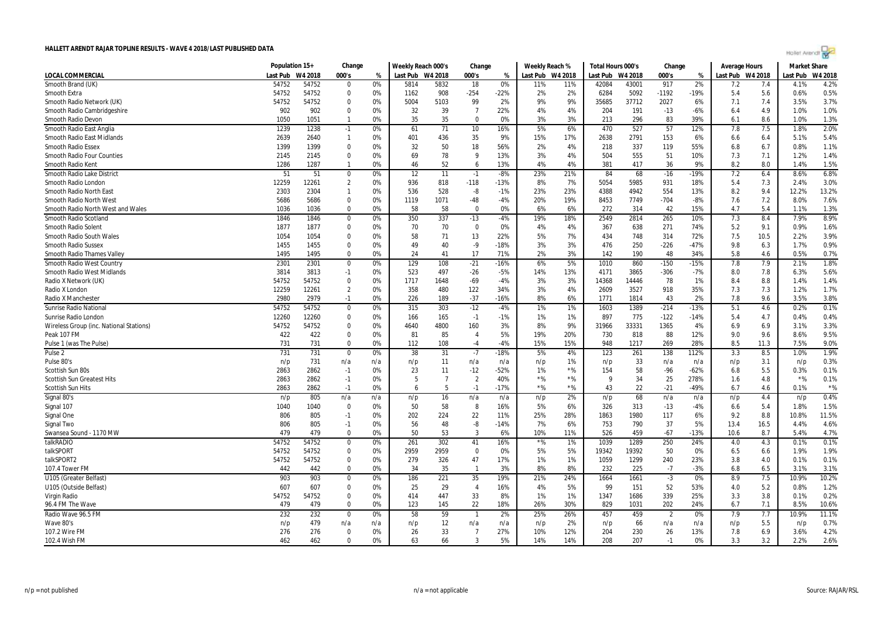| Hollet Arendt |  |  |  |
|---------------|--|--|--|
|               |  |  |  |

|                                         | Population 15+ |         | Change         |     | Weekly Reach 000's |                | Change         |        | Weekly Reach %   |       | Total Hours 000's |         | Change         |        | Average Hours    |      | <b>Market Share</b> |         |
|-----------------------------------------|----------------|---------|----------------|-----|--------------------|----------------|----------------|--------|------------------|-------|-------------------|---------|----------------|--------|------------------|------|---------------------|---------|
| LOCAL COMMERCIAL                        | Last Pub       | W4 2018 | 000's          | %   | Last Pub W4 2018   |                | 000's          | %      | Last Pub W4 2018 |       | Last Pub          | W4 2018 | 000's          | %      | Last Pub W4 2018 |      | Last Pub            | W4 2018 |
| Smooth Brand (UK)                       | 54752          | 54752   | 0              | 0%  | 5814               | 5832           | 18             | 0%     | 11%              | 11%   | 42084             | 43001   | 917            | 2%     | 7.2              | 7.4  | 4.1%                | 4.2%    |
| Smooth Extra                            | 54752          | 54752   | $\mathbf{0}$   | 0%  | 1162               | 908            | -254           | $-22%$ | 2%               | 2%    | 6284              | 5092    | $-1192$        | $-19%$ | 5.4              | 5.6  | 0.6%                | 0.5%    |
| Smooth Radio Network (UK)               | 54752          | 54752   | 0              | 0%  | 5004               | 5103           | 99             | 2%     | 9%               | 9%    | 35685             | 37712   | 2027           | 6%     | 7.1              | 7.4  | 3.5%                | 3.7%    |
| Smooth Radio Cambridgeshire             | 902            | 902     | $\mathbf 0$    | 0%  | 32                 | 39             | $\overline{7}$ | 22%    | 4%               | 4%    | 204               | 191     | $-13$          | $-6%$  | 6.4              | 4.9  | 1.0%                | 1.0%    |
| Smooth Radio Devon                      | 1050           | 1051    | $\overline{1}$ | 0%  | 35                 | 35             | $\mathbf 0$    | 0%     | 3%               | 3%    | 213               | 296     | 83             | 39%    | 6.1              | 8.6  | 1.0%                | 1.3%    |
| Smooth Radio East Anglia                | 1239           | 1238    | $-1$           | 0%  | 61                 | 71             | 10             | 16%    | 5%               | 6%    | 470               | 527     | 57             | 12%    | 7.8              | 7.5  | 1.8%                | 2.0%    |
| Smooth Radio East Midlands              | 2639           | 2640    | $\overline{1}$ | 0%  | 401                | 436            | 35             | 9%     | 15%              | 17%   | 2638              | 2791    | 153            | 6%     | 6.6              | 6.4  | 5.1%                | 5.4%    |
| <b>Smooth Radio Essex</b>               | 1399           | 1399    | $\mathbf 0$    | 0%  | 32                 | 50             | 18             | 56%    | 2%               | 4%    | 218               | 337     | 119            | 55%    | 6.8              | 6.7  | 0.8%                | 1.1%    |
| <b>Smooth Radio Four Counties</b>       | 2145           | 2145    | $\mathbf 0$    | 0%  | 69                 | 78             | 9              | 13%    | 3%               | 4%    | 504               | 555     | 51             | 10%    | 7.3              | 7.1  | 1.2%                | 1.4%    |
| Smooth Radio Kent                       | 1286           | 1287    | -1             | 0%  | 46                 | 52             | 6              | 13%    | 4%               | 4%    | 381               | 417     | 36             | 9%     | 8.2              | 8.0  | 1.4%                | 1.5%    |
| Smooth Radio Lake District              | 51             | 51      | 0              | 0%  | 12                 | 11             | $-1$           | -8%    | 23%              | 21%   | 84                | 68      | $-16$          | $-19%$ | 7.2              | 6.4  | 8.6%                | 6.8%    |
| Smooth Radio London                     | 12259          | 12261   | $\overline{2}$ | 0%  | 936                | 818            | $-118$         | $-13%$ | 8%               | 7%    | 5054              | 5985    | 931            | 18%    | 5.4              | 7.3  | 2.4%                | 3.0%    |
| Smooth Radio North East                 | 2303           | 2304    | $\overline{1}$ | 0%  | 536                | 528            | -8             | $-1%$  | 23%              | 23%   | 4388              | 4942    | 554            | 13%    | 8.2              | 9.4  | 12.2%               | 13.2%   |
| Smooth Radio North West                 | 5686           | 5686    | $\mathbf 0$    | 0%  | 1119               | 1071           | $-48$          | -4%    | 20%              | 19%   | 8453              | 7749    | $-704$         | $-8%$  | 7.6              | 7.2  | 8.0%                | 7.6%    |
| Smooth Radio North West and Wales       | 1036           | 1036    | 0              | 0%  | 58                 | 58             | 0              | 0%     | 6%               | 6%    | 272               | 314     | 42             | 15%    | 4.7              | 5.4  | 1.1%                | 1.3%    |
| Smooth Radio Scotland                   | 1846           | 1846    | $\mathbf 0$    | 0%  | 350                | 337            | $-13$          | $-4%$  | 19%              | 18%   | 2549              | 2814    | 265            | 10%    | 7.3              | 8.4  | 7.9%                | 8.9%    |
| <b>Smooth Radio Solent</b>              | 1877           | 1877    | $\mathbf 0$    | 0%  | 70                 | 70             | $\overline{0}$ | 0%     | 4%               | 4%    | 367               | 638     | 271            | 74%    | 5.2              | 9.1  | 0.9%                | 1.6%    |
| Smooth Radio South Wales                | 1054           | 1054    | $\mathbf{0}$   | 0%  | 58                 | 71             | 13             | 22%    | 5%               | 7%    | 434               | 748     | 314            | 72%    | 7.5              | 10.5 | 2.2%                | 3.9%    |
| <b>Smooth Radio Sussex</b>              | 1455           | 1455    | 0              | 0%  | 49                 | 40             | -9             | $-18%$ | 3%               | 3%    | 476               | 250     | $-226$         | $-47%$ | 9.8              | 6.3  | 1.7%                | 0.9%    |
| <b>Smooth Radio Thames Valley</b>       | 1495           | 1495    | $\mathbf 0$    | 0%  | 24                 | 41             | 17             | 71%    | 2%               | 3%    | 142               | 190     | 48             | 34%    | 5.8              | 4.6  | 0.5%                | 0.7%    |
| Smooth Radio West Country               | 2301           | 2301    | $\mathbf 0$    | 0%  | 129                | 108            | $-21$          | $-16%$ | 6%               | 5%    | 1010              | 860     | $-150$         | $-15%$ | 7.8              | 7.9  | 2.1%                | 1.8%    |
| <b>Smooth Radio West Midlands</b>       | 3814           | 3813    | $-1$           | 0%  | 523                | 497            | $-26$          | $-5%$  | 14%              | 13%   | 4171              | 3865    | $-306$         | $-7%$  | 8.0              | 7.8  | 6.3%                | 5.6%    |
| Radio X Network (UK)                    | 54752          | 54752   | $\mathbf 0$    | 0%  | 1717               | 1648           | $-69$          | $-4%$  | 3%               | 3%    | 14368             | 14446   | 78             | 1%     | 8.4              | 8.8  | 1.4%                | 1.4%    |
| Radio X London                          | 12259          | 12261   | $\overline{2}$ | 0%  | 358                | 480            | 122            | 34%    | 3%               | 4%    | 2609              | 3527    | 918            | 35%    | 7.3              | 7.3  | 1.2%                | 1.7%    |
| Radio X Manchester                      | 2980           | 2979    | $-1$           | 0%  | 226                | 189            | $-37$          | $-16%$ | 8%               | 6%    | 1771              | 1814    | 43             | 2%     | 7.8              | 9.6  | 3.5%                | 3.8%    |
| <b>Sunrise Radio National</b>           | 54752          | 54752   | $\mathbf 0$    | 0%  | 315                | 303            | $-12$          | $-4%$  | 1%               | 1%    | 1603              | 1389    | $-214$         | $-13%$ | 5.1              | 4.6  | 0.2%                | 0.1%    |
| Sunrise Radio London                    | 12260          | 12260   | $\mathbf 0$    | 0%  | 166                | 165            | $-1$           | $-1%$  | 1%               | 1%    | 897               | 775     | $-122$         | $-14%$ | 5.4              | 4.7  | 0.4%                | 0.4%    |
| Wireless Group (inc. National Stations) | 54752          | 54752   | 0              | 0%  | 4640               | 4800           | 160            | 3%     | 8%               | 9%    | 31966             | 33331   | 1365           | 4%     | 6.9              | 6.9  | 3.1%                | 3.3%    |
| Peak 107 FM                             | 422            | 422     | $\mathbf 0$    | 0%  | 81                 | 85             | $\overline{4}$ | 5%     | 19%              | 20%   | 730               | 818     | 88             | 12%    | 9.0              | 9.6  | 8.6%                | 9.5%    |
| Pulse 1 (was The Pulse)                 | 731            | 731     | $\mathbf 0$    | 0%  | 112                | 108            | $-4$           | $-4%$  | 15%              | 15%   | 948               | 1217    | 269            | 28%    | 8.5              | 11.3 | 7.5%                | 9.0%    |
| Pulse <sub>2</sub>                      | 731            | 731     | $\overline{0}$ | 0%  | 38                 | 31             | $-7$           | $-18%$ | 5%               | 4%    | 123               | 261     | 138            | 112%   | 3.3              | 8.5  | 1.0%                | 1.9%    |
| Pulse 80's                              | n/p            | 731     | n/a            | n/a | n/p                | 11             | n/a            | n/a    | n/p              | 1%    | n/p               | 33      | n/a            | n/a    | n/p              | 3.1  | n/p                 | 0.3%    |
| Scottish Sun 80s                        | 2863           | 2862    | $-1$           | 0%  | 23                 | 11             | $-12$          | $-52%$ | 1%               | $*96$ | 154               | 58      | $-96$          | $-62%$ | 6.8              | 5.5  | 0.3%                | 0.1%    |
| <b>Scottish Sun Greatest Hits</b>       | 2863           | 2862    | $-1$           | 0%  | 5                  | $\overline{7}$ | $\overline{2}$ | 40%    | $*$ %            | $*$ % | g                 | 34      | 25             | 278%   | 1.6              | 4.8  | $*$ %               | 0.1%    |
| Scottish Sun Hits                       | 2863           | 2862    | $-1$           | 0%  | 6                  | -5             | $-1$           | $-17%$ | $*$ %            | $*$ % | 43                | 22      | $-21$          | $-49%$ | 6.7              | 4.6  | 0.1%                | $*$ %   |
| Signal 80's                             | n/p            | 805     | n/a            | n/a | n/p                | 16             | n/a            | n/a    | n/p              | 2%    | n/p               | 68      | n/a            | n/a    | n/p              | 4.4  | n/p                 | 0.4%    |
| Signal 107                              | 1040           | 1040    | $\mathbf{0}$   | 0%  | 50                 | 58             | 8              | 16%    | 5%               | 6%    | 326               | 313     | $-13$          | $-4%$  | 6.6              | 5.4  | 1.8%                | 1.5%    |
| Signal One                              | 806            | 805     | $-1$           | 0%  | 202                | 224            | 22             | 11%    | 25%              | 28%   | 1863              | 1980    | 117            | 6%     | 9.2              | 8.8  | 10.8%               | 11.5%   |
| Signal Two                              | 806            | 805     | $-1$           | 0%  | 56                 | 48             | -8             | $-14%$ | 7%               | 6%    | 753               | 790     | 37             | 5%     | 13.4             | 16.5 | 4.4%                | 4.6%    |
| Swansea Sound - 1170 MW                 | 479            | 479     | $\mathbf 0$    | 0%  | 50                 | 53             | $\overline{3}$ | 6%     | 10%              | 11%   | 526               | 459     | $-67$          | $-13%$ | 10.6             | 8.7  | 5.4%                | 4.7%    |
| talkRADIO                               | 54752          | 54752   | 0              | 0%  | 261                | 302            | 41             | 16%    | $*$ %            | 1%    | 1039              | 1289    | 250            | 24%    | 4.0              | 4.3  | 0.1%                | 0.1%    |
| talkSPORT                               | 54752          | 54752   | 0              | 0%  | 2959               | 2959           | 0              | 0%     | 5%               | 5%    | 19342             | 19392   | 50             | 0%     | 6.5              | 6.6  | 1.9%                | 1.9%    |
| talkSPORT2                              | 54752          | 54752   | $\mathbf 0$    | 0%  | 279                | 326            | 47             | 17%    | 1%               | 1%    | 1059              | 1299    | 240            | 23%    | 3.8              | 4.0  | 0.1%                | 0.1%    |
| 107.4 Tower FM                          | 442            | 442     | $\mathbf 0$    | 0%  | 34                 | 35             | $\overline{1}$ | 3%     | 8%               | 8%    | 232               | 225     | $-7$           | $-3%$  | 6.8              | 6.5  | 3.1%                | 3.1%    |
| U105 (Greater Belfast)                  | 903            | 903     | $\mathbf 0$    | 0%  | 186                | 221            | 35             | 19%    | 21%              | 24%   | 1664              | 1661    | $-3$           | 0%     | 8.9              | 7.5  | 10.9%               | 10.2%   |
| U105 (Outside Belfast)                  | 607            | 607     | $\mathbf 0$    | 0%  | 25                 | 29             | $\overline{4}$ | 16%    | 4%               | 5%    | 99                | 151     | 52             | 53%    | 4.0              | 5.2  | 0.8%                | 1.2%    |
| Virgin Radio                            | 54752          | 54752   | $\mathbf 0$    | 0%  | 414                | 447            | 33             | 8%     | 1%               | 1%    | 1347              | 1686    | 339            | 25%    | 3.3              | 3.8  | 0.1%                | 0.2%    |
| 96.4 FM The Wave                        | 479            | 479     | $\mathbf 0$    | 0%  | 123                | 145            | 22             | 18%    | 26%              | 30%   | 829               | 1031    | 202            | 24%    | 6.7              | 7.1  | 8.5%                | 10.6%   |
| Radio Wave 96.5 FM                      | 232            | 232     | 0              | 0%  | 58                 | 59             | -1             | 2%     | 25%              | 26%   | 457               | 459     | $\overline{2}$ | 0%     | 7.9              | 7.7  | 10.9%               | 11.1%   |
| Wave 80's                               | n/p            | 479     | n/a            | n/a | n/p                | 12             | n/a            | n/a    | n/p              | 2%    | n/p               | 66      | n/a            | n/a    | n/p              | 5.5  | n/p                 | 0.7%    |
| 107.2 Wire FM                           | 276            | 276     | $\mathbf 0$    | 0%  | 26                 | 33             | $\overline{7}$ | 27%    | 10%              | 12%   | 204               | 230     | 26             | 13%    | 7.8              | 6.9  | 3.6%                | 4.2%    |
| 102.4 Wish FM                           | 462            | 462     | $\Omega$       | 0%  | 63                 | 66             | $\mathbf{3}$   | 5%     | 14%              | 14%   | 208               | 207     | $-1$           | 0%     | 3.3              | 3.2  | 2.2%                | 2.6%    |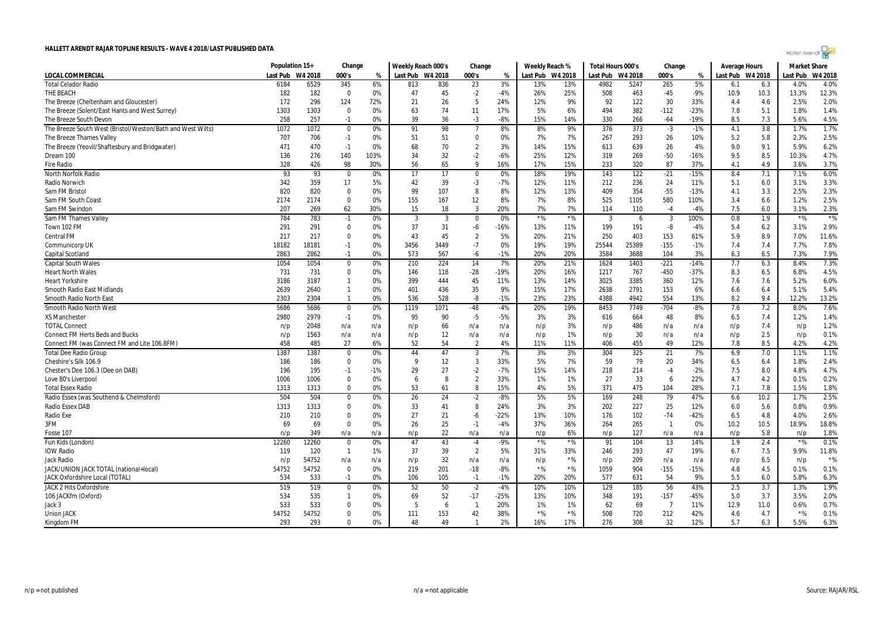| Hollet Arendt |  |  |  |
|---------------|--|--|--|
|               |  |  |  |

|                                                            | Population 15+ |         | Change           |       | Weekly Reach 000's |      | Change         |        | Weekly Reach % |                  | Total Hours 000's |         | Change                   |        | <b>Average Hours</b> |      | <b>Market Share</b> |         |
|------------------------------------------------------------|----------------|---------|------------------|-------|--------------------|------|----------------|--------|----------------|------------------|-------------------|---------|--------------------------|--------|----------------------|------|---------------------|---------|
| LOCAL COMMERCIAL                                           | Last Pub       | W4 2018 | 000's            | %     | Last Pub W4 2018   |      | 000's          | %      |                | Last Pub W4 2018 | Last Pub          | W4 2018 | 000's                    | %      | Last Pub W4 2018     |      | Last Pub            | W4 2018 |
| <b>Total Celador Radio</b>                                 | 6184           | 6529    | 345              | 6%    | 813                | 836  | 23             | 3%     | 13%            | 13%              | 4982              | 5247    | 265                      | 5%     | 6.1                  | 6.3  | 4.0%                | 4.0%    |
| THE BEACH                                                  | 182            | 182     | $\mathbf 0$      | 0%    | 47                 | 45   | $-2$           | $-4%$  | 26%            | 25%              | 508               | 463     | $-45$                    | $-9%$  | 10.9                 | 10.3 | 13.3%               | 12.3%   |
| The Breeze (Cheltenham and Gloucester)                     | 172            | 296     | 124              | 72%   | 21                 | 26   | 5              | 24%    | 12%            | 9%               | 92                | 122     | 30                       | 33%    | 4.4                  | 4.6  | 2.5%                | 2.0%    |
| The Breeze (Solent/East Hants and West Surrey)             | 1303           | 1303    | $\Omega$         | 0%    | 63                 | 74   | 11             | 17%    | 5%             | 6%               | 494               | 382     | $-112$                   | $-23%$ | 7.8                  | 5.1  | 1.8%                | 1.4%    |
| The Breeze South Devon                                     | 258            | 257     | $-1$             | 0%    | 39                 | 36   | -3             | $-8%$  | 15%            | 14%              | 330               | 266     | $-64$                    | $-19%$ | 8.5                  | 7.3  | 5.6%                | 4.5%    |
| The Breeze South West (Bristol/Weston/Bath and West Wilts) | 1072           | 1072    | $\mathbf 0$      | 0%    | 91                 | 98   | $\overline{7}$ | 8%     | 8%             | 9%               | 376               | 373     | $-3$                     | $-1%$  | 4.1                  | 3.8  | 1.7%                | 1.7%    |
| The Breeze Thames Valley                                   | 707            | 706     | $-1$             | 0%    | 51                 | 51   | $\Omega$       | 0%     | 7%             | 7%               | 267               | 293     | 26                       | 10%    | 5.2                  | 5.8  | 2.3%                | 2.5%    |
| The Breeze (Yeovil/Shaftesbury and Bridgwater)             | 471            | 470     | $-1$             | 0%    | 68                 | 70   | $\overline{2}$ | 3%     | 14%            | 15%              | 613               | 639     | 26                       | 4%     | 9.0                  | 9.1  | 5.9%                | 6.2%    |
| Dream 100                                                  | 136            | 276     | 140              | 103%  | 34                 | 32   | $-2$           | $-6%$  | 25%            | 12%              | 319               | 269     | $-50$                    | $-16%$ | 9.5                  | 8.5  | 10.3%               | 4.7%    |
| <b>Fire Radio</b>                                          | 328            | 426     | 98               | 30%   | 56                 | 65   | 9              | 16%    | 17%            | 15%              | 233               | 320     | 87                       | 37%    | 4.1                  | 4.9  | 3.6%                | 3.7%    |
| North Norfolk Radio                                        | 93             | 93      | $\mathbf 0$      | 0%    | 17                 | 17   | $\mathbf 0$    | 0%     | 18%            | 19%              | 143               | 122     | $-21$                    | $-15%$ | 8.4                  | 7.1  | 7.1%                | 6.0%    |
| Radio Norwich                                              | 342            | 359     | 17               | 5%    | 42                 | 39   | -3             | $-7%$  | 12%            | 11%              | 212               | 236     | 24                       | 11%    | 5.1                  | 6.0  | 3.1%                | 3.3%    |
| Sam FM Bristol                                             | 820            | 820     | $\Omega$         | 0%    | 99                 | 107  | 8              | 8%     | 12%            | 13%              | 409               | 354     | $-55$                    | $-13%$ | 4.1                  | 3.3  | 2.5%                | 2.3%    |
| Sam FM South Coast                                         | 2174           | 2174    | $\Omega$         | 0%    | 155                | 167  | 12             | 8%     | 7%             | 8%               | 525               | 1105    | 580                      | 110%   | 3.4                  | 6.6  | 1.2%                | 2.5%    |
| Sam FM Swindon                                             | 207            | 269     | 62               | 30%   | 15                 | 18   | $\overline{3}$ | 20%    | 7%             | 7%               | 114               | 110     | $-4$                     | $-4%$  | 7.5                  | 6.0  | 3.1%                | 2.3%    |
| Sam FM Thames Valley                                       | 784            | 783     | $-1$             | 0%    | 3                  | 3    | $\mathbf 0$    | 0%     | ${}^{\star}\%$ | $*$ %            | 3                 | 6       | 3                        | 100%   | 0.8                  | 1.9  | $*$ %               | $*$ %   |
| Town 102 FM                                                | 291            | 291     | $\Omega$         | 0%    | 37                 | 31   | -6             | $-16%$ | 13%            | 11%              | 199               | 191     | -8                       | $-4%$  | 5.4                  | 6.2  | 3.1%                | 2.9%    |
| <b>Central FM</b>                                          | 217            | 217     | $\mathbf 0$      | 0%    | 43                 | 45   | $\overline{2}$ | 5%     | 20%            | 21%              | 250               | 403     | 153                      | 61%    | 5.9                  | 8.9  | 7.0%                | 11.6%   |
| Communicorp UK                                             | 18182          | 18181   | $-1$             | 0%    | 3456               | 3449 | $-7$           | 0%     | 19%            | 19%              | 25544             | 25389   | $-155$                   | $-1%$  | 7.4                  | 7.4  | 7.7%                | 7.8%    |
| Capital Scotland                                           | 2863           | 2862    | $-1$             | 0%    | 573                | 567  | -6             | $-1%$  | 20%            | 20%              | 3584              | 3688    | 104                      | 3%     | 6.3                  | 6.5  | 7.3%                | 7.9%    |
| <b>Capital South Wales</b>                                 | 1054           | 1054    | $\boldsymbol{0}$ | 0%    | 210                | 224  | 14             | 7%     | 20%            | 21%              | 1624              | 1403    | $-221$                   | $-14%$ | 7.7                  | 6.3  | 8.4%                | 7.3%    |
| <b>Heart North Wales</b>                                   | 731            | 731     | $\Omega$         | 0%    | 146                | 118  | $-28$          | $-19%$ | 20%            | 16%              | 1217              | 767     | $-450$                   | $-37%$ | 8.3                  | 6.5  | 6.8%                | 4.5%    |
| <b>Heart Yorkshire</b>                                     | 3186           | 3187    | $\mathbf{1}$     | 0%    | 399                | 444  | 45             | 11%    | 13%            | 14%              | 3025              | 3385    | 360                      | 12%    | 7.6                  | 7.6  | 5.2%                | 6.0%    |
| Smooth Radio East Midlands                                 | 2639           | 2640    | $\mathbf{1}$     | 0%    | 401                | 436  | 35             | 9%     | 15%            | 17%              | 2638              | 2791    | 153                      | 6%     | 6.6                  | 6.4  | 5.1%                | 5.4%    |
| Smooth Radio North East                                    | 2303           | 2304    | $\mathbf{1}$     | 0%    | 536                | 528  | -8             | $-1%$  | 23%            | 23%              | 4388              | 4942    | 554                      | 13%    | 8.2                  | 9.4  | 12.2%               | 13.2%   |
| Smooth Radio North West                                    | 5686           | 5686    | $\mathbf 0$      | 0%    | 1119               | 1071 | $-48$          | $-4%$  | 20%            | 19%              | 8453              | 7749    | $-704$                   | $-8%$  | 7.6                  | 7.2  | 8.0%                | 7.6%    |
| XS Manchester                                              | 2980           | 2979    | $-1$             | 0%    | 95                 | 90   | $-5$           | $-5%$  | 3%             | 3%               | 616               | 664     | 48                       | 8%     | 6.5                  | 7.4  | 1.2%                | 1.4%    |
| <b>TOTAL Connect</b>                                       | n/p            | 2048    | n/a              | n/a   | n/p                | 66   | n/a            | n/a    | n/p            | 3%               | n/p               | 486     | n/a                      | n/a    | n/p                  | 7.4  | n/p                 | 1.2%    |
| <b>Connect FM Herts Beds and Bucks</b>                     | n/p            | 1563    | n/a              | n/a   | n/p                | 12   | n/a            | n/a    | n/p            | 1%               | n/p               | 30      | n/a                      | n/a    | n/p                  | 2.5  | n/p                 | 0.1%    |
| Connect FM (was Connect FM and Lite 106.8FM)               | 458            | 485     | 27               | 6%    | 52                 | 54   | $\overline{2}$ | 4%     | 11%            | 11%              | 406               | 455     | 49                       | 12%    | 7.8                  | 8.5  | 4.2%                | 4.2%    |
| <b>Total Dee Radio Group</b>                               | 1387           | 1387    | $\mathbf 0$      | 0%    | 44                 | 47   | 3              | 7%     | 3%             | 3%               | 304               | 325     | 21                       | 7%     | 6.9                  | 7.0  | 1.1%                | 1.1%    |
| Cheshire's Silk 106.9                                      | 186            | 186     | $\mathbf{0}$     | 0%    | 9                  | 12   | 3              | 33%    | 5%             | 7%               | 59                | 79      | 20                       | 34%    | 6.5                  | 6.4  | 1.8%                | 2.4%    |
| Chester's Dee 106.3 (Dee on DAB)                           | 196            | 195     | $-1$             | $-1%$ | 29                 | 27   | $-2$           | $-7%$  | 15%            | 14%              | 218               | 214     | $-4$                     | $-2%$  | 7.5                  | 8.0  | 4.8%                | 4.7%    |
| Love 80's Liverpool                                        | 1006           | 1006    | $\mathbf 0$      | 0%    | 6                  | 8    | $\overline{2}$ | 33%    | 1%             | 1%               | 27                | 33      | 6                        | 22%    | 4.7                  | 4.2  | 0.1%                | 0.2%    |
| <b>Total Essex Radio</b>                                   | 1313           | 1313    | $\mathbf 0$      | 0%    | 53                 | 61   | 8              | 15%    | 4%             | 5%               | 371               | 475     | 104                      | 28%    | 7.1                  | 7.8  | 1.5%                | 1.8%    |
| Radio Essex (was Southend & Chelmsford)                    | 504            | 504     | $\Omega$         | 0%    | 26                 | 24   | $-2$           | $-8%$  | 5%             | 5%               | 169               | 248     | 79                       | 47%    | 6.6                  | 10.2 | 1.7%                | 2.5%    |
| <b>Radio Essex DAB</b>                                     | 1313           | 1313    | $\Omega$         | 0%    | 33                 | 41   | 8              | 24%    | 3%             | 3%               | 202               | 227     | 25                       | 12%    | 6.0                  | 5.6  | 0.8%                | 0.9%    |
| Radio Exe                                                  | 210            | 210     | $\Omega$         | 0%    | 27                 | 21   | $-6$           | $-22%$ | 13%            | 10%              | 176               | 102     | $-74$                    | $-42%$ | 6.5                  | 4.8  | 4.0%                | 2.6%    |
| 3FM                                                        | 69             | 69      | $\Omega$         | 0%    | 26                 | 25   | $-1$           | $-4%$  | 37%            | 36%              | 264               | 265     | $\overline{\phantom{a}}$ | 0%     | 10.2                 | 10.5 | 18.9%               | 18.8%   |
| Fosse 107                                                  | n/p            | 349     | n/a              | n/a   | n/p                | 22   | n/a            | n/a    | n/p            | 6%               | n/p               | 127     | n/a                      | n/a    | n/p                  | 5.8  | n/p                 | 1.8%    |
| Fun Kids (London)                                          | 12260          | 12260   | 0                | 0%    | 47                 | 43   | $-4$           | $-9%$  | ${}^{\star}\%$ | $*$ %            | 91                | 104     | 13                       | 14%    | 1.9                  | 2.4  | ${}^{\star}\%$      | 0.1%    |
| IOW Radio                                                  | 119            | 120     | $\overline{1}$   | 1%    | 37                 | 39   | $\overline{2}$ | 5%     | 31%            | 33%              | 246               | 293     | 47                       | 19%    | 6.7                  | 7.5  | 9.9%                | 11.8%   |
| Jack Radio                                                 | n/p            | 54752   | n/a              | n/a   | n/p                | 32   | n/a            | n/a    | n/p            | $*$ %            | n/p               | 209     | n/a                      | n/a    | n/p                  | 6.5  | n/p                 | $*$ %   |
| JACK/UNION JACK TOTAL (national+local)                     | 54752          | 54752   | $\mathbf 0$      | 0%    | 219                | 201  | $-18$          | $-8%$  | $*$ %          | $*$ %            | 1059              | 904     | $-155$                   | $-15%$ | 4.8                  | 4.5  | 0.1%                | 0.1%    |
| JACK Oxfordshire Local (TOTAL)                             | 534            | 533     | $-1$             | 0%    | 106                | 105  | $-1$           | $-1%$  | 20%            | 20%              | 577               | 631     | 54                       | 9%     | 5.5                  | 6.0  | 5.8%                | 6.3%    |
| <b>JACK 2 Hits Oxfordshire</b>                             | 519            | 519     | $\boldsymbol{0}$ | 0%    | 52                 | 50   | $-2$           | $-4%$  | 10%            | 10%              | 129               | 185     | 56                       | 43%    | 2.5                  | 3.7  | 1.3%                | 1.9%    |
| 106 JACKfm (Oxford)                                        | 534            | 535     | -1               | 0%    | 69                 | 52   | $-17$          | $-25%$ | 13%            | 10%              | 348               | 191     | $-157$                   | $-45%$ | 5.0                  | 3.7  | 3.5%                | 2.0%    |
| Jack 3                                                     | 533            | 533     | $\Omega$         | 0%    | -5                 | 6    | $\mathbf{1}$   | 20%    | 1%             | 1%               | 62                | 69      | $\overline{7}$           | 11%    | 12.9                 | 11.0 | 0.6%                | 0.7%    |
| <b>Union JACK</b>                                          | 54752          | 54752   | $\mathbf 0$      | 0%    | 111                | 153  | 42             | 38%    | $*$ %          | $*$ %            | 508               | 720     | 212                      | 42%    | 4.6                  | 4.7  | $*$ %               | 0.1%    |
| Kingdom FM                                                 | 293            | 293     | $\Omega$         | 0%    | 48                 | 49   | $\mathbf{1}$   | 2%     | 16%            | 17%              | 276               | 308     | 32                       | 12%    | 5.7                  | 6.3  | 5.5%                | 6.3%    |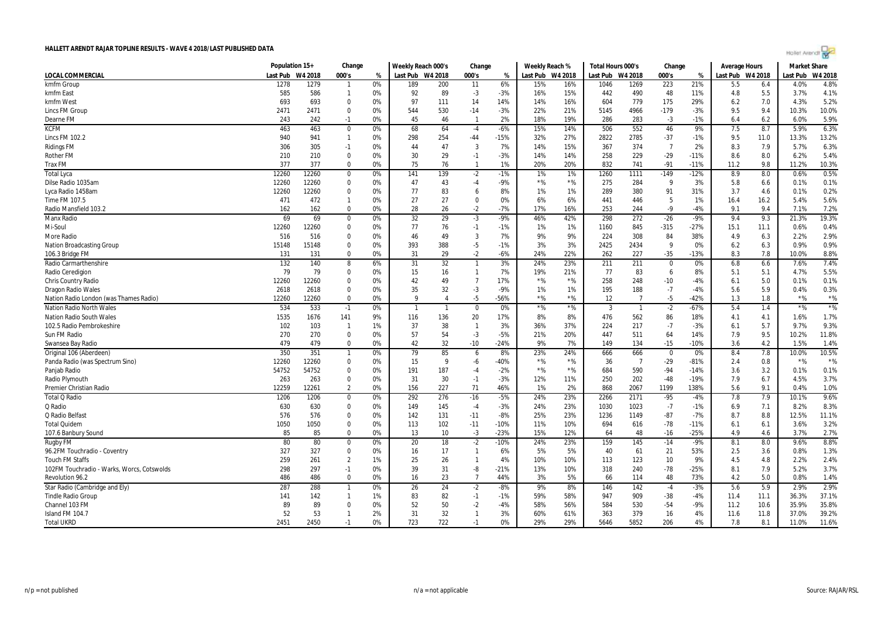

|                                            | Population 15+ |           | Change                  |          | Weekly Reach 000's |                      | Change                 |              | Weekly Reach % |           | Total Hours 000's |                | Change         |        | <b>Average Hours</b> |            | Market Share |              |
|--------------------------------------------|----------------|-----------|-------------------------|----------|--------------------|----------------------|------------------------|--------------|----------------|-----------|-------------------|----------------|----------------|--------|----------------------|------------|--------------|--------------|
| <b>LOCAL COMMERCIAL</b>                    | Last Pub       | W4 2018   | 000's                   | %        | Last Pub W4 2018   |                      | 000's                  | %            | Last Pub       | W4 2018   | Last Pub          | W4 2018        | 000's          | %      | Last Pub W4 2018     |            | Last Pub     | W4 2018      |
| kmfm Group                                 | 1278           | 1279      |                         | 0%       | 189                | 200                  | 11                     | 6%           | 15%            | 16%       | 1046              | 1269           | 223            | 21%    | 5.5                  | 6.4        | 4.0%         | 4.8%         |
| kmfm East                                  | 585            | 586       | $\mathbf{1}$            | 0%       | 92                 | 89                   | $-3$                   | $-3%$        | 16%            | 15%       | 442               | 490            | 48             | 11%    | 4.8                  | 5.5        | 3.7%         | 4.1%         |
| kmfm West                                  | 693            | 693       | $\mathbf 0$             | 0%       | 97                 | 111                  | 14                     | 14%          | 14%            | 16%       | 604               | 779            | 175            | 29%    | 6.2                  | 7.0        | 4.3%         | 5.2%         |
| Lincs FM Group                             | 2471           | 2471      | $\Omega$                | 0%       | 544                | 530                  | $-14$                  | -3%          | 22%            | 21%       | 5145              | 4966           | $-179$         | $-3%$  | 9.5                  | 9.4        | 10.3%        | 10.0%        |
| Dearne FM                                  | 243            | 242       | $-1$                    | 0%       | 45                 | 46                   | $\overline{1}$         | 2%           | 18%            | 19%       | 286               | 283            | $-3$           | $-1%$  | 6.4                  | 6.2        | 6.0%         | 5.9%         |
| <b>KCFM</b>                                | 463            | 463       | $\mathbf 0$             | 0%       | 68                 | 64                   | $-4$                   | $-6%$        | 15%            | 14%       | 506               | 552            | 46             | 9%     | 7.5                  | 8.7        | 5.9%         | 6.3%         |
| Lincs FM 102.2                             | 940            | 941       | $\mathbf{1}$            | 0%       | 298                | 254                  | $-44$                  | $-15%$       | 32%            | 27%       | 2822              | 2785           | $-37$          | $-1%$  | 9.5                  | 11.0       | 13.3%        | 13.2%        |
| <b>Ridings FM</b>                          | 306            | 305       | $-1$                    | 0%       | 44                 | 47                   | $\overline{3}$         | 7%           | 14%            | 15%       | 367               | 374            | $\overline{7}$ | 2%     | 8.3                  | 7.9        | 5.7%         | 6.3%         |
| <b>Rother FM</b>                           | 210            | 210       | $\mathbf 0$             | 0%       | 30                 | 29                   | $-1$                   | $-3%$        | 14%            | 14%       | 258               | 229            | $-29$          | $-11%$ | 8.6                  | 8.0        | 6.2%         | 5.4%         |
| <b>Trax FM</b>                             | 377            | 377       | $\Omega$                | 0%       | 75                 | 76                   | $\overline{1}$         | 1%           | 20%            | 20%       | 832               | 741            | $-91$          | $-11%$ | 11.2                 | 9.8        | 11.2%        | 10.3%        |
| <b>Total Lyca</b>                          | 12260          | 12260     | $\Omega$                | 0%       | 141                | 139                  | $-2$                   | -1%          | 1%             | 1%        | 1260              | 1111           | $-149$         | $-12%$ | 8.9                  | 8.0        | 0.6%         | 0.5%         |
| Dilse Radio 1035am                         | 12260          | 12260     | $\mathbf 0$             | 0%       | 47                 | 43                   | $-4$                   | -9%          | $\star$ %      | $*$ %     | 275               | 284            | 9              | 3%     | 5.8                  | 6.6        | 0.1%         | 0.1%         |
| Lyca Radio 1458am                          | 12260          | 12260     | 0                       | 0%       | 77                 | 83                   | 6                      | 8%           | 1%             | 1%        | 289               | 380            | 91             | 31%    | 3.7                  | 4.6        | 0.1%         | 0.2%         |
| Time FM 107.5                              | 471            | 472       | $\mathbf{1}$            | 0%       | 27                 | 27                   | $\Omega$               | 0%           | 6%             | 6%        | 441               | 446            | -5             | 1%     | 16.4                 | 16.2       | 5.4%         | 5.6%         |
| Radio Mansfield 103.2                      | 162            | 162       | $\mathbf 0$             | 0%       | 28                 | 26                   | $-2$                   | $-7%$        | 17%            | 16%       | 253               | 244            | $-9$           | $-4%$  | 9.1                  | 9.4        | 7.1%         | 7.2%         |
| <b>Manx Radio</b>                          | 69             | 69        | $\mathbf 0$             | 0%       | 32                 | 29                   | $-3$                   | $-9%$        | 46%            | 42%       | 298               | 272            | $-26$          | $-9%$  | 9.4                  | 9.3        | 21.3%        | 19.3%        |
| Mi-Soul                                    | 12260          | 12260     | 0                       | 0%       | 77                 | 76                   | $-1$                   | $-1%$        | 1%             | 1%        | 1160              | 845            | $-315$         | $-27%$ | 15.1                 | 11.1       | 0.6%         | 0.4%         |
| <b>More Radio</b>                          | 516            | 516       | 0                       | 0%       | 46                 | 49                   | 3                      | 7%           | 9%             | 9%        | 224               | 308            | 84             | 38%    | 4.9                  | 6.3        | 2.2%         | 2.9%         |
| <b>Nation Broadcasting Group</b>           | 15148          | 15148     | $\mathbf 0$             | 0%       | 393                | 388                  | $-5$                   | $-1%$        | 3%             | 3%        | 2425              | 2434           | 9              | 0%     | 6.2                  | 6.3        | 0.9%         | 0.9%         |
| 106.3 Bridge FM                            | 131            | 131       | $\Omega$                | 0%       | 31                 | 29                   | $-2$                   | $-6%$        | 24%            | 22%       | 262               | 227            | $-35$          | $-13%$ | 8.3                  | 7.8        | 10.0%        | 8.8%         |
| Radio Carmarthenshire                      | 132            | 140       | 8                       | 6%       | 31                 | 32                   | $\mathbf{1}$           | 3%           | 24%            | 23%       | 211               | 211            | $\Omega$       | 0%     | 6.8                  | 6.6        | 7.6%         | 7.4%         |
| Radio Ceredigion                           | 79             | 79        | $\mathbf 0$             | 0%       | 15                 | 16                   | $\mathbf{1}$           | 7%           | 19%            | 21%       | 77                | 83             | 6              | 8%     | 5.1                  | 5.1        | 4.7%         | 5.5%         |
| Chris Country Radio                        | 12260          | 12260     | $\mathbf 0$             | 0%       | 42                 | 49                   | $\overline{7}$         | 17%          | $*$ %          | $*$ %     | 258               | 248            | $-10$          | $-4%$  | 6.1                  | 5.0        | 0.1%         | 0.1%         |
| <b>Dragon Radio Wales</b>                  | 2618           | 2618      | 0                       | 0%       | 35                 | 32                   | -3                     | $-9%$        | 1%             | 1%        | 195               | 188            | $-7$           | $-4%$  | 5.6                  | 5.9        | 0.4%         | 0.3%         |
| Nation Radio London (was Thames Radio)     | 12260          | 12260     | $\mathbf 0$             | 0%       | q                  | $\overline{\Lambda}$ | $-5$                   | -56%         | $*$ %          | $*96$     | 12                | 7              | $-5$           | $-42%$ | 1.3                  | 1.8        | $*$ %        | $*$ %        |
| <b>Nation Radio North Wales</b>            | 534            | 533       | $-1$                    | 0%       |                    | -1                   | $\mathbf 0$            | 0%           | $*96$          | $*$ %     | $\overline{3}$    | $\mathbf{1}$   | $-2$           | $-67%$ | 5.4                  | 1.4        | $*96$        | $*$ %        |
| <b>Nation Radio South Wales</b>            | 1535           | 1676      | 141                     | 9%       | 116                | 136                  | 20                     | 17%          | 8%             | 8%        | 476               | 562            | 86             | 18%    | 4.1                  | 4.1        | 1.6%         | 1.7%         |
| 102.5 Radio Pembrokeshire                  | 102            | 103       | $\mathbf{1}$            | 1%       | 37                 | 38                   | $\overline{1}$         | 3%           | 36%            | 37%       | 224               | 217            | $-7$           | $-3%$  | 6.1                  | 5.7        | 9.7%         | 9.3%         |
| Sun FM Radio                               | 270            | 270       | $\mathbf 0$             | 0%       | 57                 | 54                   | $-3$                   | $-5%$        | 21%            | 20%       | 447               | 511            | 64             | 14%    | 7.9                  | 9.5        | 10.2%        | 11.8%        |
| Swansea Bay Radio                          | 479            | 479       | $\Omega$                | 0%       | 42                 | 32                   | $-10$                  | $-24%$       | 9%             | 7%        | 149               | 134            | $-15$          | $-10%$ | 3.6                  | 4.2        | 1.5%         | 1.4%         |
| Original 106 (Aberdeen)                    | 350            | 351       | $\overline{1}$          | 0%       | 79                 | 85                   | 6                      | 8%           | 23%            | 24%       | 666               | 666            | $\Omega$       | 0%     | 8.4                  | 7.8        | 10.0%        | 10.5%        |
| Panda Radio (was Spectrum Sino)            | 12260          | 12260     | $\mathbf 0$             | 0%       | 15                 | 9                    | $-6$                   | -40%         | $*$ %          | $*96$     | 36                | $\overline{7}$ | $-29$          | $-81%$ | 2.4                  | 0.8        | $*$ %        | $*$ %        |
| Panjab Radio                               | 54752          | 54752     | $\mathbf 0$             | 0%       | 191                | 187                  | $-4$                   | $-2%$        | $*$ %          | $*$ %     | 684               | 590            | $-94$          | $-14%$ | 3.6                  | 3.2        | 0.1%         | 0.1%         |
| Radio Plymouth                             | 263            | 263       | 0                       | 0%       | 31                 | 30                   | $-1$                   | -3%          | 12%            | 11%       | 250               | 202            | $-48$          | $-19%$ | 7.9                  | 6.7        | 4.5%         | 3.7%         |
| <b>Premier Christian Radio</b>             | 12259          | 12261     | $\overline{2}$          | 0%       | 156                | 227                  | 71                     | 46%          | 1%             | 2%        | 868               | 2067           | 1199           | 138%   | 5.6                  | 9.1        | 0.4%         | 1.0%         |
| <b>Total Q Radio</b>                       | 1206           | 1206      | 0                       | 0%       | 292                | 276                  | $-16$                  | $-5%$        | 24%            | 23%       | 2266              | 2171           | $-95$          | $-4%$  | 7.8                  | 7.9        | 10.1%        | 9.6%         |
| Q Radio                                    | 630            | 630       | $\mathbf 0$             | 0%       | 149                | 145                  | $-4$                   | $-3%$        | 24%            | 23%       | 1030              | 1023           | $-7$           | $-1%$  | 6.9                  | 7.1        | 8.2%         | 8.3%         |
| Q Radio Belfas                             | 576            | 576       | $\mathbf 0$             | 0%       | 142                | 131                  | $-11$                  | $-8%$        | 25%            | 23%       | 1236              | 1149           | $-87$          | $-7%$  | 8.7                  | 8.8        | 12.5%        | 11.1%        |
| <b>Total Quidem</b>                        | 1050           | 1050      | $\mathbf 0$             | 0%       | 113                | 102                  | $-11$                  | $-10%$       | 11%            | 10%       | 694               | 616            | $-78$          | $-11%$ | 6.1                  | 6.1        | 3.6%         | 3.2%         |
| 107.6 Banbury Sound                        | 85             | 85        | $\mathbf{0}$            | 0%       | 13                 | 10                   | $-3$                   | $-23%$       | 15%            | 12%       | 64                | 48             | $-16$          | $-25%$ | 4.9                  | 4.6        | 3.7%         | 2.7%         |
|                                            |                |           |                         |          |                    |                      |                        |              |                |           |                   |                |                | $-9%$  |                      |            |              | 8.8%         |
| Rugby FM                                   | 80<br>327      | 80<br>327 | $\mathbf 0$<br>$\Omega$ | 0%<br>0% | 20                 | 18<br>17             | $-2$<br>$\overline{1}$ | $-10%$<br>6% | 24%<br>5%      | 23%<br>5% | 159<br>40         | 145            | $-14$<br>21    | 53%    | 8.1<br>2.5           | 8.0<br>3.6 | 9.6%<br>0.8% |              |
| 96.2FM Touchradio - Coventry               |                |           |                         |          | 16                 |                      | $\overline{1}$         |              |                |           |                   | 61             |                |        | 4.5                  |            |              | 1.3%<br>2.4% |
| <b>Touch FM Staffs</b>                     | 259            | 261       | $\overline{2}$          | 1%       | 25                 | 26                   |                        | 4%           | 10%            | 10%       | 113               | 123            | 10             | 9%     |                      | 4.8        | 2.2%         |              |
| 102FM Touchradio - Warks, Worcs, Cotswolds | 298            | 297       | $-1$                    | 0%       | 39                 | 31                   | -8<br>$\overline{7}$   | $-21%$       | 13%            | 10%       | 318               | 240            | $-78$          | $-25%$ | 8.1                  | 7.9        | 5.2%         | 3.7%         |
| Revolution 96.2                            | 486            | 486       | $\mathbf 0$             | 0%       | 16                 | 23                   |                        | 44%          | 3%             | 5%        | 66                | 114            | 48             | 73%    | 4.2                  | 5.0        | 0.8%         | 1.4%         |
| Star Radio (Cambridge and Ely)             | 287            | 288       | $\mathbf{1}$            | 0%       | 26                 | 24                   | $-2$                   | $-8%$        | 9%             | 8%        | 146               | 142            | $-4$           | $-3%$  | 5.6                  | 5.9        | 2.9%         | 2.9%         |
| <b>Tindle Radio Group</b>                  | 141            | 142       | $\mathbf{1}$            | 1%       | 83                 | 82                   | $-1$                   | $-1%$        | 59%            | 58%       | 947               | 909            | $-38$          | $-4%$  | 11.4                 | 11.1       | 36.3%        | 37.1%        |
| Channel 103 FM                             | 89             | 89        | $\Omega$                | 0%       | 52                 | 50                   | $-2$                   | -4%          | 58%            | 56%       | 584               | 530            | $-54$          | $-9%$  | 11.2                 | 10.6       | 35.9%        | 35.8%        |
| Island FM 104.7                            | 52             | 53        | $\mathbf{1}$            | 2%       | 31                 | 32                   | -1                     | 3%           | 60%            | 61%       | 363               | 379            | 16             | 4%     | 11.6                 | 11.8       | 37.0%        | 39.2%        |
| <b>Total UKRD</b>                          | 2451           | 2450      | $-1$                    | 0%       | 723                | 722                  | $-1$                   | 0%           | 29%            | 29%       | 5646              | 5852           | 206            | 4%     | 7.8                  | 8.1        | 11.0%        | 11.6%        |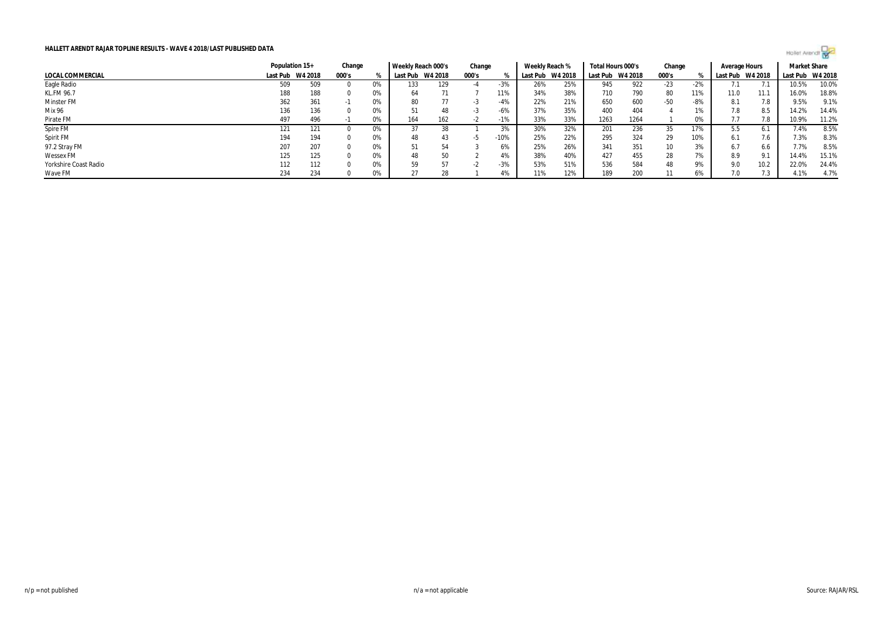

|                         |     | Population 15+   | Change |    | Weekly Reach 000's |         | Change |        | Weekly Reach % |         | Total Hours 000's |      | Change          |       | Average Hours |         | <b>Market Share</b> |         |
|-------------------------|-----|------------------|--------|----|--------------------|---------|--------|--------|----------------|---------|-------------------|------|-----------------|-------|---------------|---------|---------------------|---------|
| <b>LOCAL COMMERCIAL</b> |     | Last Pub W4 2018 | 000's  |    | Last Pub           | W4 2018 | 000's  |        | Last Pub       | W4 2018 | Last Pub W4 2018  |      | 000's           |       | Last Pub      | W4 2018 | Last Pub            | W4 2018 |
| Eagle Radio             | 509 | 509              |        | 0% | 133                | 129     | -4     | $-3%$  | 26%            | 25%     | 945               | 922  | -23             | $-2%$ |               |         | 10.5%               | 10.0%   |
| KL.FM 96.7              | 188 | 188              |        | 0% | 64                 | 71      |        | 11%    | 34%            | 38%     | 710               | 790  | 80              | 11%   | 11.0          | 11.1    | 16.0%               | 18.8%   |
| Minster FM              | 362 | 361              |        | 0% | 80                 | 77      | - 5    | -4%    | 22%            | 21%     | 650               | 600  | $-50$           | -8%   | 8.1           | 7.8     | 9.5%                | 9.1%    |
| Mix 96                  | 136 | 136              |        | 0% |                    | 48      | - 5    | -6%    | 37%            | 35%     | 400               | 404  |                 |       | 7.8           | 8.5     | 14.2%               | 14.4%   |
| Pirate FM               | 497 | 496              |        | 0% | 164                | 162     |        | $-1%$  | 33%            | 33%     | 1263              | 1264 |                 | 0%    | 7.7           | 7.8     | 10.9%               | 11.2%   |
| Spire FM                | 121 | 121              |        | 0% |                    |         |        | 3%     | 30%            | 32%     | 201               | 236  | 35              | 17%   | 5.5           |         | 7.4%                | 8.5%    |
| Spirit FM               | 194 | 194              |        | 0% | 48                 | 43      |        | $-10%$ | 25%            | 22%     | 295               | 324  | 29              | 10%   | 6.1           | 7.6     | 7.3%                | 8.3%    |
| 97.2 Stray FM           | 207 | 207              |        | 0% |                    | 54      |        | 6%     | 25%            | 26%     | 341               | 351  | 10 <sup>°</sup> | 3%    | 6.7           | 6.6     | 7.7%                | 8.5%    |
| <b>Wessex FM</b>        | 125 | 125              |        | 0% | 48                 | 50      |        | 4%     | 38%            | 40%     | 427               | 455  | 28              | 7%    | 8.9           | 9.1     | 14.4%               | 15.1%   |
| Yorkshire Coast Radio   | 112 | 112              |        | 0% | 59                 | 57      | -2     | $-3%$  | 53%            | 51%     | 536               | 584  | 48              | 9%    | 9.0           | 10.2    | 22.0%               | 24.4%   |
| Wave FM                 | 234 | 234              |        | 0% |                    | 28      |        | 4%     | 11%            | 12%     | 189               | 200  | 11              | 6%    | 7.0           |         | 4.1%                | 4.7%    |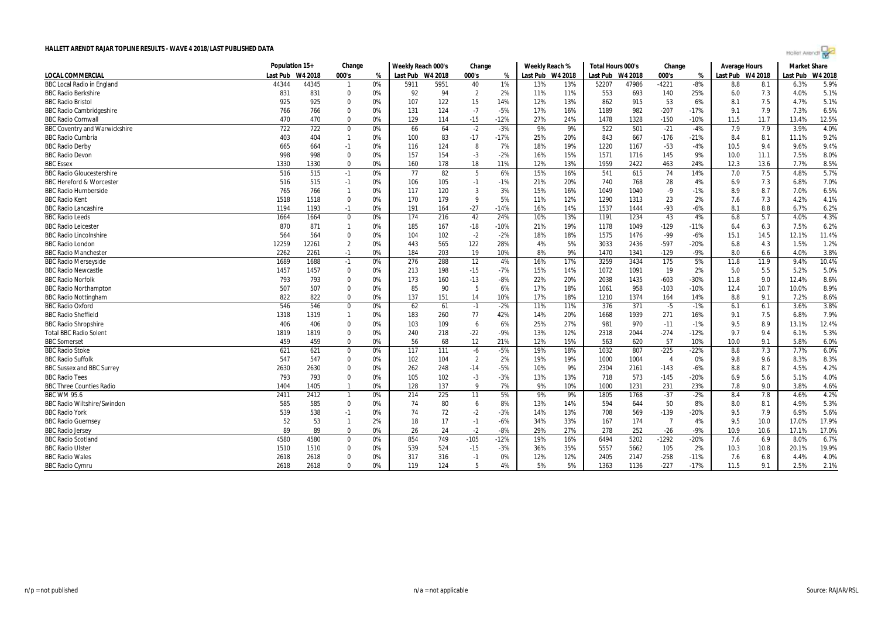| Hollet Arendt |  |  |  |
|---------------|--|--|--|
|               |  |  |  |

|                                      | Population 15+ |         | Change         |    | Weekly Reach 000's |                  | Change         |        | Weekly Reach %   |     | Total Hours 000's |         | Change         |        | Average Hours    |      | <b>Market Share</b> |         |
|--------------------------------------|----------------|---------|----------------|----|--------------------|------------------|----------------|--------|------------------|-----|-------------------|---------|----------------|--------|------------------|------|---------------------|---------|
| <b>LOCAL COMMERCIAL</b>              | Last Pub       | W4 2018 | 000's          | %  | Last Pub W4 2018   |                  | 000's          | %      | Last Pub W4 2018 |     | Last Pub          | W4 2018 | 000's          | %      | Last Pub W4 2018 |      | Last Pub            | W4 2018 |
| <b>BBC Local Radio in England</b>    | 44344          | 44345   | $\mathbf{1}$   | 0% | 5911               | 5951             | 40             | 1%     | 13%              | 13% | 52207             | 47986   | $-4221$        | $-8%$  | 8.8              | 8.1  | 6.3%                | 5.9%    |
| <b>BBC Radio Berkshire</b>           | 831            | 831     | $\mathbf 0$    | 0% | 92                 | 94               | $\overline{2}$ | 2%     | 11%              | 11% | 553               | 693     | 140            | 25%    | 6.0              | 7.3  | 4.0%                | 5.1%    |
| <b>BBC Radio Bristol</b>             | 925            | 925     | $\Omega$       | 0% | 107                | 122              | 15             | 14%    | 12%              | 13% | 862               | 915     | 53             | 6%     | 8.1              | 7.5  | 4.7%                | 5.1%    |
| <b>BBC Radio Cambridgeshire</b>      | 766            | 766     | $\Omega$       | 0% | 131                | 124              | $-7$           | $-5%$  | 17%              | 16% | 1189              | 982     | $-207$         | $-17%$ | 9.1              | 7.9  | 7.3%                | 6.5%    |
| <b>BBC Radio Cornwal</b>             | 470            | 470     | $\Omega$       | 0% | 129                | 114              | $-15$          | $-12%$ | 27%              | 24% | 1478              | 1328    | $-150$         | $-10%$ | 11.5             | 11.7 | 13.4%               | 12.5%   |
| <b>BBC Coventry and Warwickshire</b> | 722            | 722     | $\mathbf 0$    | 0% | 66                 | 64               | $-2$           | $-3%$  | 9%               | 9%  | 522               | 501     | $-21$          | $-4%$  | 7.9              | 7.9  | 3.9%                | 4.0%    |
| <b>BBC Radio Cumbria</b>             | 403            | 404     | $\mathbf{1}$   | 0% | 100                | 83               | $-17$          | $-17%$ | 25%              | 20% | 843               | 667     | $-176$         | $-21%$ | 8.4              | 8.1  | 11.1%               | 9.2%    |
| <b>BBC Radio Derby</b>               | 665            | 664     | $-1$           | 0% | 116                | 124              | 8              | 7%     | 18%              | 19% | 1220              | 1167    | $-53$          | $-4%$  | 10.5             | 9.4  | 9.6%                | 9.4%    |
| <b>BBC Radio Devon</b>               | 998            | 998     | $\Omega$       | 0% | 157                | 154              | $-3$           | $-2%$  | 16%              | 15% | 1571              | 1716    | 145            | 9%     | 10.0             | 11.1 | 7.5%                | 8.0%    |
| <b>BBC Essex</b>                     | 1330           | 1330    | $\Omega$       | 0% | 160                | 178              | 18             | 11%    | 12%              | 13% | 1959              | 2422    | 463            | 24%    | 12.3             | 13.6 | 7.7%                | 8.5%    |
| <b>BBC Radio Gloucestershire</b>     | 516            | 515     | $-1$           | 0% | 77                 | 82               | -5             | 6%     | 15%              | 16% | 541               | 615     | 74             | 14%    | 7.0              | 7.5  | 4.8%                | 5.7%    |
| <b>BBC Hereford &amp; Worcester</b>  | 516            | 515     | $-1$           | 0% | 106                | 105              | $-1$           | $-1%$  | 21%              | 20% | 740               | 768     | 28             | 4%     | 6.9              | 7.3  | 6.8%                | 7.0%    |
| <b>BBC Radio Humberside</b>          | 765            | 766     | $\mathbf{1}$   | 0% | 117                | 120              | 3              | 3%     | 15%              | 16% | 1049              | 1040    | $-9$           | $-1%$  | 8.9              | 8.7  | 7.0%                | 6.5%    |
| <b>BBC Radio Kent</b>                | 1518           | 1518    | $\mathbf 0$    | 0% | 170                | 179              | $\mathbf{q}$   | 5%     | 11%              | 12% | 1290              | 1313    | 23             | 2%     | 7.6              | 7.3  | 4.2%                | 4.1%    |
| <b>BBC Radio Lancashire</b>          | 1194           | 1193    | $-1$           | 0% | 191                | 164              | $-27$          | $-14%$ | 16%              | 14% | 1537              | 1444    | $-93$          | $-6%$  | 8.1              | 8.8  | 6.7%                | 6.2%    |
| <b>BBC Radio Leeds</b>               | 1664           | 1664    | $\mathbf 0$    | 0% | 174                | 216              | 42             | 24%    | 10%              | 13% | 1191              | 1234    | 43             | 4%     | 6.8              | 5.7  | 4.0%                | 4.3%    |
| <b>BBC Radio Leicester</b>           | 870            | 871     | $\mathbf{1}$   | 0% | 185                | 167              | $-18$          | $-10%$ | 21%              | 19% | 1178              | 1049    | $-129$         | $-11%$ | 6.4              | 6.3  | 7.5%                | 6.2%    |
| <b>BBC Radio Lincolnshire</b>        | 564            | 564     | $\mathbf 0$    | 0% | 104                | 102              | $-2$           | $-2%$  | 18%              | 18% | 1575              | 1476    | -99            | $-6%$  | 15.1             | 14.5 | 12.1%               | 11.4%   |
| <b>BBC Radio London</b>              | 12259          | 12261   | $\overline{2}$ | 0% | 443                | 565              | 122            | 28%    | 4%               | 5%  | 3033              | 2436    | $-597$         | $-20%$ | 6.8              | 4.3  | 1.5%                | 1.2%    |
| <b>BBC Radio Manchester</b>          | 2262           | 2261    | $-1$           | 0% | 184                | 203              | 19             | 10%    | 8%               | 9%  | 1470              | 1341    | $-129$         | $-9%$  | 8.0              | 6.6  | 4.0%                | 3.8%    |
| <b>BBC Radio Merseyside</b>          | 1689           | 1688    | $-1$           | 0% | 276                | 288              | 12             | 4%     | 16%              | 17% | 3259              | 3434    | 175            | 5%     | 11.8             | 11.9 | 9.4%                | 10.4%   |
| <b>BBC Radio Newcastle</b>           | 1457           | 1457    | $\Omega$       | 0% | 213                | 198              | $-15$          | $-7%$  | 15%              | 14% | 1072              | 1091    | 19             | 2%     | 5.0              | 5.5  | 5.2%                | 5.0%    |
| <b>BBC Radio Norfolk</b>             | 793            | 793     | $\Omega$       | 0% | 173                | 160              | $-13$          | $-8%$  | 22%              | 20% | 2038              | 1435    | $-603$         | $-30%$ | 11.8             | 9.0  | 12.4%               | 8.6%    |
| <b>BBC Radio Northampton</b>         | 507            | 507     | $\Omega$       | 0% | 85                 | 90               | -5             | 6%     | 17%              | 18% | 1061              | 958     | $-103$         | $-10%$ | 12.4             | 10.7 | 10.0%               | 8.9%    |
| <b>BBC Radio Nottingham</b>          | 822            | 822     | $\Omega$       | 0% | 137                | 151              | 14             | 10%    | 17%              | 18% | 1210              | 1374    | 164            | 14%    | 8.8              | 9.1  | 7.2%                | 8.6%    |
| <b>BBC Radio Oxford</b>              | 546            | 546     | $\Omega$       | 0% | 62                 | 61               | $-1$           | $-2%$  | 11%              | 11% | 376               | 371     | $-5$           | $-1%$  | 6.1              | 6.1  | 3.6%                | 3.8%    |
| <b>BBC Radio Sheffield</b>           | 1318           | 1319    | $\mathbf{1}$   | 0% | 183                | 260              | 77             | 42%    | 14%              | 20% | 1668              | 1939    | 271            | 16%    | 9.1              | 7.5  | 6.8%                | 7.9%    |
| <b>BBC Radio Shropshire</b>          | 406            | 406     | $\Omega$       | 0% | 103                | 109              | 6              | 6%     | 25%              | 27% | 981               | 970     | $-11$          | $-1%$  | 9.5              | 8.9  | 13.1%               | 12.4%   |
| <b>Total BBC Radio Solent</b>        | 1819           | 1819    | $\Omega$       | 0% | 240                | 218              | $-22$          | -9%    | 13%              | 12% | 2318              | 2044    | $-274$         | $-12%$ | 9.7              | 9.4  | 6.1%                | 5.3%    |
| <b>BBC</b> Somerset                  | 459            | 459     | $\Omega$       | 0% | 56                 | 68               | 12             | 21%    | 12%              | 15% | 563               | 620     | 57             | 10%    | 10.0             | 9.1  | 5.8%                | 6.0%    |
| <b>BBC Radio Stoke</b>               | 621            | 621     | $\Omega$       | 0% | 117                | $\overline{111}$ | $-6$           | $-5%$  | 19%              | 18% | 1032              | 807     | $-225$         | $-22%$ | 8.8              | 7.3  | 7.7%                | 6.0%    |
| <b>BBC Radio Suffolk</b>             | 547            | 547     | $\Omega$       | 0% | 102                | 104              | $\overline{2}$ | 2%     | 19%              | 19% | 1000              | 1004    | $\overline{4}$ | 0%     | 9.8              | 9.6  | 8.3%                | 8.3%    |
| BBC Sussex and BBC Surrey            | 2630           | 2630    | $\Omega$       | 0% | 262                | 248              | $-14$          | $-5%$  | 10%              | 9%  | 2304              | 2161    | $-143$         | $-6%$  | 8.8              | 8.7  | 4.5%                | 4.2%    |
| <b>BBC Radio Tees</b>                | 793            | 793     | $\Omega$       | 0% | 105                | 102              | $-3$           | $-3%$  | 13%              | 13% | 718               | 573     | $-145$         | $-20%$ | 6.9              | 5.6  | 5.1%                | 4.0%    |
| <b>BBC Three Counties Radio</b>      | 1404           | 1405    | $\mathbf{1}$   | 0% | 128                | 137              | q              | 7%     | 9%               | 10% | 1000              | 1231    | 231            | 23%    | 7.8              | 9.0  | 3.8%                | 4.6%    |
| <b>BBC WM 95.6</b>                   | 2411           | 2412    | $\mathbf{1}$   | 0% | 214                | 225              | 11             | 5%     | 9%               | 9%  | 1805              | 1768    | $-37$          | $-2%$  | 8.4              | 7.8  | 4.6%                | 4.2%    |
| <b>BBC Radio Wiltshire/Swindon</b>   | 585            | 585     | $\Omega$       | 0% | 74                 | 80               | 6              | 8%     | 13%              | 14% | 594               | 644     | 50             | 8%     | 8.0              | 8.1  | 4.9%                | 5.3%    |
| <b>BBC Radio York</b>                | 539            | 538     | $-1$           | 0% | 74                 | 72               | $-2$           | $-3%$  | 14%              | 13% | 708               | 569     | $-139$         | $-20%$ | 9.5              | 7.9  | 6.9%                | 5.6%    |
| <b>BBC Radio Guernsey</b>            | 52             | 53      | $\mathbf{1}$   | 2% | 18                 | 17               | $-1$           | $-6%$  | 34%              | 33% | 167               | 174     | $\overline{7}$ | 4%     | 9.5              | 10.0 | 17.0%               | 17.9%   |
| <b>BBC Radio Jersey</b>              | 89             | 89      | $\mathbf 0$    | 0% | 26                 | 24               | $-2$           | $-8%$  | 29%              | 27% | 278               | 252     | $-26$          | $-9%$  | 10.9             | 10.6 | 17.1%               | 17.0%   |
| <b>BBC Radio Scotland</b>            | 4580           | 4580    | $\Omega$       | 0% | 854                | 749              | $-105$         | $-12%$ | 19%              | 16% | 6494              | 5202    | $-1292$        | $-20%$ | 7.6              | 6.9  | 8.0%                | 6.7%    |
| <b>BBC Radio Ulster</b>              | 1510           | 1510    | $\Omega$       | 0% | 539                | 524              | $-15$          | -3%    | 36%              | 35% | 5557              | 5662    | 105            | 2%     | 10.3             | 10.8 | 20.1%               | 19.9%   |
| <b>BBC Radio Wales</b>               | 2618           | 2618    | $\Omega$       | 0% | 317                | 316              | $-1$           | 0%     | 12%              | 12% | 2405              | 2147    | $-258$         | $-11%$ | 7.6              | 6.8  | 4.4%                | 4.0%    |
| <b>BBC Radio Cymru</b>               | 2618           | 2618    | $\Omega$       | 0% | 119                | 124              | 5              | 4%     | 5%               | 5%  | 1363              | 1136    | $-227$         | $-17%$ | 11.5             | 9.1  | 2.5%                | 2.1%    |